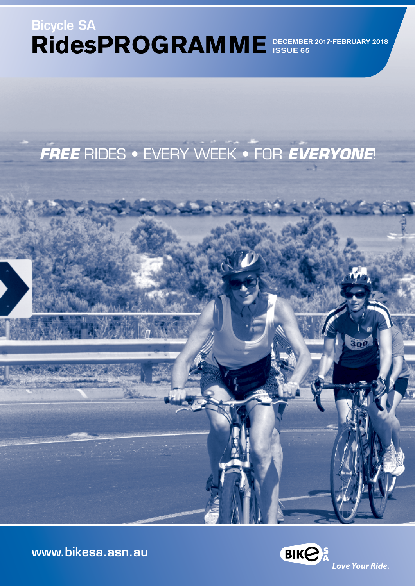# **RidesPROGRAMME**  DECEMBER 2017-FEBRUARY 2018 Bicycle SA ISSUE 65

# *FREE* RIDES • EVERY WEEK • FOR *EVERYONE*!

[www.bikesa.asn.au](http://www.bikesa.asn.au)

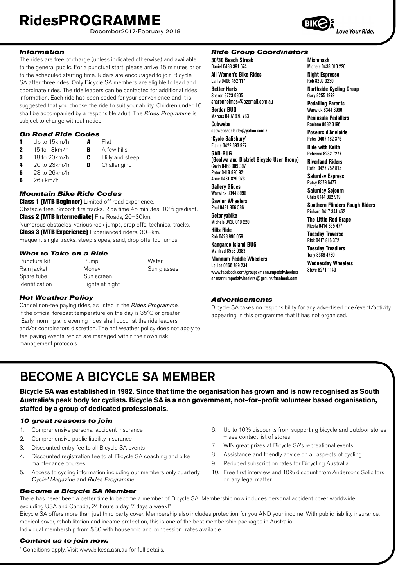December2017-February 2018

### *Information*

The rides are free of charge (unless indicated otherwise) and available to the general public. For a punctual start, please arrive 15 minutes prior to the scheduled starting time. Riders are encouraged to join Bicycle SA after three rides. Only Bicycle SA members are eligible to lead and coordinate rides. The ride leaders can be contacted for additional rides information. Each ride has been coded for your convenience and it is suggested that you choose the ride to suit your ability. Children under 16 shall be accompanied by a responsible adult. The *Rides Programme* is subject to change without notice.

#### *On Road Ride Codes*

- 1 Up to 15km/h **A** Flat 2 15 to 18km/h **B** A few hills 3 18 to 20 km/h **C** Hilly and steep<br>4 20 to 23 km/h **D** Challenging Challenging
- 
- **5** 23 to 26km/h
- $6$  26+km/h

#### *Mountain Bike Ride Codes*

**Class 1 (MTB Beginner)** Limited off road experience. Obstacle free. Smooth fire tracks. Ride time 45 minutes. 10% gradient. Class 2 (MTB Intermediate) Fire Roads, 20–30km. Numerous obstacles, various rock jumps, drop offs, technical tracks. Class 3 (MTB Experience) Experienced riders, 30+km. Frequent single tracks, steep slopes, sand, drop offs, log jumps.

#### *What to Take on a Ride*

| Puncture kit          | Pump            | Water       |
|-----------------------|-----------------|-------------|
| Rain jacket           | Money           | Sun glasses |
| Spare tube            | Sun screen      |             |
| <b>Identification</b> | Lights at night |             |

#### *Hot Weather Policy*

Cancel non-fee paying rides, as listed in the *Rides Programme*, if the official forecast temperature on the day is 35°C or greater. Early morning and evening rides shall occur at the ride leaders and/or coordinators discretion. The hot weather policy does not apply to fee-paying events, which are managed within their own risk management protocols.

#### *Ride Group Coordinators*

**30/30 Beach Streak** Daniel 0433 391 674 **All Women's Bike Rides** Lanie 0406 452 117 **Better Harts**  Sharon 8723 0805 sharonholmes@ozemail.com.au **Border BUG** Marcus 0407 978 763 **Cobwebs** cobwebsadelaide@yahoo.com.au **'Cycle Salisbury'** Elaine 0422 393 997 **GAD-BUG (Goolwa and District Bicycle User Group)** Gavin 0468 909 397 Peter 0418 820 921 Anne 0431 829 973 **Gallery Glides** Warwick 8344 8996 **Gawler Wheelers** Paul 0431 866 586 **Getonyabike** Michele 0438 010 220 **Hills Ride** Rob 0428 990 059 **Kangaroo Island BUG** Manfred 8553 0383 **Mannum Peddle Wheelers** Louise 0466 789 234 www.facebook.com/groups/mannumpedalwheelers or mannumpedalwheelers@groups.facebook.com

#### *Advertisements*

Bicycle SA takes no responsibility for any advertised ride/event/activity appearing in this programme that it has not organised.

# BECOME A BICYCLE SA MEMBER

**Bicycle SA was established in 1982. Since that time the organisation has grown and is now recognised as South Australia's peak body for cyclists. Bicycle SA is a non government, not–for–profit volunteer based organisation, staffed by a group of dedicated professionals.**

#### *10 great reasons to join*

- 1. Comprehensive personal accident insurance
- 2. Comprehensive public liability insurance
- 3. Discounted entry fee to all Bicycle SA events
- 4. Discounted registration fee to all Bicycle SA coaching and bike maintenance courses
- 5. Access to cycling information including our members only quarterly *Cycle! Magazine* and *Rides Programme*
- 6. Up to 10% discounts from supporting bicycle and outdoor stores – see contact list of stores
- 7. WIN great prizes at Bicycle SA's recreational events
- 8. Assistance and friendly advice on all aspects of cycling
- 9. Reduced subscription rates for Bicycling Australia
- 10. Free first interview and 10% discount from Andersons Solicitors on any legal matter.

*Become a Bicycle SA Member* There has never been a better time to become a member of Bicycle SA. Membership now includes personal accident cover worldwide excluding USA and Canada, 24 hours a day, 7 days a week!\*

Bicycle SA offers more than just third party cover. Membership also includes protection for you AND your income. With public liability insurance, medical cover, rehabilitation and income protection, this is one of the best membership packages in Australia. Individual membership from \$80 with household and concession rates available.

#### *Contact us to join now.*

**II**

\* Conditions apply. Visit www.bikesa.asn.au for full details.

Love Your Ride.

**Mishmash** Michele 0438 010 220 **Night Espresso** Rob 8299 0230

**Northside Cycling Group** Gary 8255 1979 **Pedalling Parents** Warwick 8344 8996 **Peninsula Pedallers** Raelene 8682 3196 **Poseurs d'Adelaide** Peter 0407 182 376 **Ride with Keith** Rebecca 8232 7277 **Riverland Riders** Ruth 0427 752 815 **Saturday Express** Patsy 8379 6477 **Saturday Sojourn** Chris 0414 802 919

**Southern Flinders Rough Riders**

Richard 0417 341 462 **The Little Red Grape**  Nicola 0414 365 477 **Tuesday Traverse** Rick 0417 816 372 **Tuesday Treadlers** Tony 8388 4730 **Wednesday Wheelers** Steve 8271 1140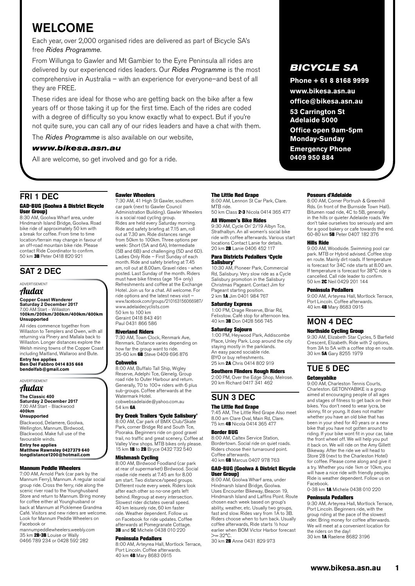# WELCOME

Each year, over 2,000 organised rides are delivered as part of Bicycle SA's free *Rides Programme*.

From Willunga to Gawler and Mt Gambier to the Eyre Peninsula all rides are delivered by our experienced rides leaders. Our *Rides Programme* is the most comprehensive in Australia – with an experience for everyone–and best of all they are FREE.

These rides are ideal for those who are getting back on the bike after a few years off or those taking it up for the first time. Each of the rides are coded with a degree of difficulty so you know exactly what to expect. But if you're not quite sure, you can call any of our rides leaders and have a chat with them.

The *Rides Programme* is also available on our website,

#### *www.bikesa.asn.au*

All are welcome, so get involved and go for a ride.

### FRI 1 DEC

#### GAD-BUG (Goolwa & District Bicycle User Group)

8:30 AM, Goolwa Wharf area, under Hindmarsh Island Bridge, Goolwa. Road bike ride of approximately 50 km with a break for coffee. From time to time location/terrain may change in favour of an off-road mountain bike ride. Please contact Ride Coordinator to confirm. 50 km 3B Peter 0418 820 921

### SAT 2 DEC

ADVERTISEMENT

### Audax

**Copper Coast Wanderer Saturday 2 December 2017** 7.00 AM Start – Willaston **100km/200km/300km/400km/600km Unsupported**

All rides commence together from Willaston to Templers and Owen, with all returning via Pinery and Mallala back to Willaston. Longer distances explore the Welsh mining towns of the Copper Coast including Maitland, Wallaroo and Bute.

**Entry fee applies Ben Del Fabbro 0414 835 668 [bendelfab@gmail.com](mailto:bendelfab@gmail.com)**

ADVERTISEMENT Audax

**The Classic 400 Saturday 2 December 2017** 7.00 AM Start – Blackwood **400km**

#### **Unsupported**

Blackwood, Delamere, Goolwa, Wellington, Mannum, Birdwood, Blackwood. Make full use of the favourable winds.

**Entry fee applies Matthew Rawnsley 0427379 640 longdistance1200@hotmail.com**

#### Mannum Peddle Wheelers

7:00 AM, Arnold Park (car park by the Mannum Ferry), Mannum. A regular social group ride. Cross the ferry, ride along the scenic river road to the Younghusband Store and return to Mannum. Bring money for coffee either at Younghusband or back at Mannum at Picklemee Grandma Café. Visitors and new riders are welcome. Look for Mannum Peddle Wheelers on Facebook or

mannumpeddlewheelers.weebly.com 35 km 2B-3B Louise or Wally 0466 789 234 or 0428 592 282

### Gawler Wheelers

7:30 AM, 41 High St Gawler, southern car park (next to Gawler Council Administration Building). Gawler Wheelers is a social road cycling group. Rides are held every Saturday morning. Ride and safety briefing at 7.15 am, roll out at 7.30 am. Ride distances range from 50km to 100km. Three options per week: Short (5A and 6A), Intermediate (5B and 6B) and challenging (5D and 6D). Ladies Only Ride – First Sunday of each month. Ride and safety briefing at 7.45 am, roll out at 8.00am. Gravel rides - when posted. Last Sunday of the month. Riders must have bike fitness (age 16+ only) Refreshments and coffee at the Exchange Hotel. Join us for a chat. All welcome. For ride options and the latest news visit – www.facebook.com/groups/210163156066987/ www.adelaidecyclists.com 50 km to 100 km Geraint 0418 843 491 Paul 0431 866 586

#### Riverland Riders

7:30 AM, Town Clock, Renmark Ave, Renmark. Distance varies depending on how far the group want to ride.<br>35-60 km **6B** Steve 0409 696 876

8:00 AM, Buffalo Tall Ship, Wigley Reserve, Adelphi Tce, Glenelg. Group road ride to Outer Harbour and return. Generally, 70 to 100+ riders with 6 plus sub-groups. Coffee afterwards at the Watermark Hotel. cobwebsadelaide@yahoo.com.au 54 km 6A

#### Dry Creek Trailers 'Cycle Salisbury'

8:00 AM, Car park of BMX Club/Skate Park, corner Bridge Rd and South Tce, Pooraka. Beginners ride on good gravel trail, no traffic and great scenery. Coffee at Valley View shops. MTB bikes only please. 15 km 1B to 2B Bryce 0432 732 540

**Mishmash Cycling**<br>8:00 AM, Birdwood Foodland (car park at rear of supermarket) Birdwood. Social roadie ride meets at 7.45 am for 8.00 am start. Two distance/speed groups. Different route every week. Riders look after each other so no-one gets left behind. Regroup at every intersection. Slowest rider dictates overall speed. 40 km leisurely ride, 60 km faster ride. Weather dependent. Follow us on Facebook for ride updates. Coffee afterwards at Pomegranate Cottage. 3B and 5C Michele 0438 010 220

#### Peninsula Pedallers

8:00 AM, Arteyrea Hall, Mortlock Terrace, Port Lincoln. Coffee afterwards. 40 km 4B Mary 8683 0915

#### The Little Red Grape

8:00 AM, Lennon St Car Park, Clare. MTB ride. 50 km Class 2-3 Nicola 0414 365 477

#### All Women's Bike Rides

9:30 AM, Cycle On' 2/19 Albyn Tce, Strathalbyn. An all women's social bike ride with coffee afterwards. Various start locations Contact Lanie for details. 20 km 2B Lanie 0406 452 117

### Para Districts Pedallers 'Cycle Salisbury' 10:30 AM, Pioneer Park, Commercial

Rd, Salisbury. Very slow ride as a Cycle Salisbury promotion in the Salisbury Christmas Pageant. Contact Jim for Pageant starting position. 2 km 1A Jim 0401 984 767

#### Saturday Express

1:00 PM, Drage Reserve, Briar Rd, Felixstow. Café stop for afternoon tea. 40 km 3B Don 0428 566 745

#### Saturday Sojourn

1:00 PM, Heywood Park, Addiscombe Place, Unley Park. Loop around the city staying mostly in the parklands. An easy paced sociable ride. BYO or buy refreshments. 25 km **2A** Chris 0414 802 919

#### Southern Flinders Rough Riders

2:00 PM, Over the Edge Shop, Melrose. 20 km Richard 0417 341 462

### SUN 3 DEC

## **The Little Red Grape**<br>7:45 AM, The Little Red Grape Also meet

8.00 am Clare Oval, Main Rd, Clare. 75 km 4B Nicola 0414 365 477

#### Border BUG

8:00 AM, Caltex Service Station, Bordertown. Social ride on quiet roads. Riders choose their turnaround point. Coffee afterwards. 40 km 6B Marcus 0407 978 763

### GAD-BUG (Goolwa & District Bicycle

User Group) 8:00 AM, Goolwa Wharf area, under Hindmarsh Island Bridge, Goolwa. Uses Encounter Bikeway, Beacon 19, Hindmarsh Island and Laffins Point. Route chosen each week based on group's ability, weather, etc. Usually two groups, fast and slow. Rides vary from 1A to 3B. Riders choose when to turn back. Usually coffee afterwards, Ride starts 1/6 hour earlier when BOM Victor Harbor forecast  $>= 32^{\circ}C$ .

30 km 2B Anne 0431 829 973

## *BICYCLE SA*

**Phone + 61 8 8168 9999** 

**www.bikesa.asn.au office@bikesa.asn.au**

**53 Carrington St Adelaide 5000**

**Office open 9am-5pm Monday-Sunday Emergency Phone 0409 950 884**

Poseurs d'Adelaide

8:00 AM, Corner Portrush & Greenhill Rds. (in front of the Burnside Town Hall). Bitumen road ride, 4C to 5B, generally in the hills or quieter Adelaide roads. We don't take ourselves too seriously and aim for a good bakery or cafe towards the end. 60-80 km 5B Peter 0407 182 376

#### Hills Ride

9:00 AM, Woodside. Swimming pool car park. MTB or Hybrid advised. Coffee stop en route. Mainly dirt roads. If temperature is forecast for 34C ride starts at 8.00 am. If temperature is forecast for 38°C ride is cancelled. Call ride leader to confirm. 50 km 2C Neil 0429 201 144

#### Peninsula Pedallers

9:00 AM, Arteyrea Hall, Mortlock Terrace, Port Lincoln. Coffee afterwards. 40 km 4B Mary 8683 0915

# MON 4 DEC

### Northside Cycling Group

9:30 AM, Elizabeth Star Cycles, 5 Barfield Crescent, Elizabeth. Ride with 2 options, from 3A to 5A with a coffee stop en route. 30 km 5A Gary 8255 1979

### TUE 5 DEC

#### Getonyabike

9:00 AM, Charleston Tennis Courts, Charleston. GETONYABIKE is a group aimed at encouraging people of all ages and stages of fitness to get back on their bikes. You don't need to wear lycra, be skinny, fit or young. It does not matter whether you have an old bike that has been in your shed for 40 years or a new bike that you have not gotten around to riding. If your bike wont fit in your car, take the front wheel off. We will help you put it back on. We will ride on the Amy Gillett Bikeway. After the ride we will head to Store 28 (next to the Charleston Hotel) for coffee. Please come along and give it a try. Whether you ride 1km or 10km, you will have a nice ride with friendly people. Ride is weather dependent. Follow us on Facebook. 0-38 km 1A Michele 0438 010 220

### Peninsula Pedallers

9:30 AM, Arteyrea Hall, Mortlock Terrace, Port Lincoln. Beginners ride, with the group riding at the pace of the slowest rider. Bring money for coffee afterwards. We will meet at a convenient location for the riders on the day! 30 km 1A Raelene 8682 3196

# Cobwebs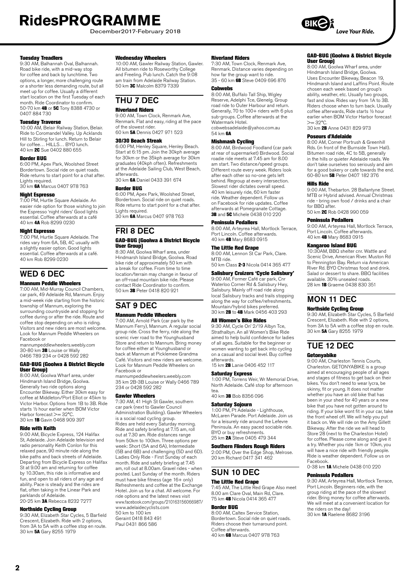December2017-February 2018

#### Tuesday Treadlers

9:30 AM, Balhannah Oval, Balhannah. Road bike ride, with a mid-way stop for coffee and back by lunchtime. Two options, a longer, more challenging route or a shorter less demanding route, but all meet up for coffee. Usually a different start location on the first Tuesday of each month. Ride Coordinator to confirm. 50-70 km **4B** or 5C Tony 8388 4730 or 0407 884 730

**Tuesday Traverse**<br>10:00 AM, Belair Railway Station, Belair. Ride to Coromandel Valley. Up Acklands Hill to Stirling for lunch. Return to Belair for coffee… HILLS… BYO lunch. 40 km 2C Sue 0402 880 655

#### Border BUG

6:00 PM, Apex Park, Woolshed Street Bordertown. Social ride on quiet roads. Ride returns to start point for a chat after. Lights required.

30 km 6A Marcus 0407 978 763

#### Night Espresso

7:00 PM, Hurtle Square Adelaide. An easier ride option for those wishing to join the Espresso 'night riders' Good lights essential. Coffee afterwards at a café 40 km 4A Rob 8299 0230

#### Night Espresso

7:00 PM, Hurtle Square Adelaide. The rides vary from 6A, 5B, 4C usually with a slightly easier option. Good lights essential. Coffee afterwards at a café. 40 km Rob 8299 0230

### WED 6 DEC

#### Mannum Peddle Wheelers

7:00 AM, Mid-Murray Council Chambers, car park, 49 Adelaide Rd, Mannum. Enjoy a mid-week ride starting from the historic township of Mannum, exploring the surrounding countryside and stopping for coffee during or after the ride. Route and coffee stop depending on who is riding. Visitors and new riders are most welcome. Look for Mannum Peddle Wheelers on Facebook or

mannumpeddlewheelers.weebly.com 30-80 km 3B Louise or Wally 0466 789 234 or 0428 592 282

#### GAD-BUG (Goolwa & District Bicycle User Group)

8:00 AM, Goolwa Wharf area, under Hindmarsh Island Bridge, Goolwa. Generally two ride options along Encounter Bikeway. Either 30km easy for coffee at Middleton/Port Elliot or 45km to Victor Harbor. Options from 1B to 3B. Ride starts ½ hour earlier when BOM Victor Harbor forecast >= 32°C. 30 km 1B Gavin 0468 909 397

#### Ride with Keith

9:00 AM, Bicycle Express, 124 Halifax St, Adelaide. Join Adelaide television and radio personality Keith Conlon for this relaxed pace, 90 minute ride along the bike paths and back streets of Adelaide. Departing from Bicycle Express on Halifax St at 9.00 am and returning for coffee by 10.30am, this ride is informative and fun, and open to all riders of any age and ability. Pace is steady and the rides are flat, often taking in the Linear Park and parklands of Adelaide.

20-25 km 3A Rebecca 8232 7277

#### Northside Cycling Group

9:30 AM, Elizabeth Star Cycles, 5 Barfield Crescent, Elizabeth. Ride with 2 options, from 3A to 5A with a coffee stop en route. 30 km 5A Gary 8255 1979

#### Wednesday Wheelers

10:00 AM, Gawler Railway Station, Gawler. All bitumen ride to Roseworthy College and Freeling. Pub lunch. Catch the 9:08 am train from Adelaide Railway Station. 50 km 3C Malcolm 8379 7339

### THU 7 DEC

#### Riverland Riders

9:00 AM, Town Clock, Renmark Ave, Renmark. Flat and easy, riding at the pace of the slowest rider. 60 km 5A Dennis 0427 971 523

#### 30/30 Beach Streak

6:00 PM, Henley Square, Henley Beach. Start at 6:15 pm. Join the 30kph average for 30km or the 35kph average for 30km graduates (40kph often). Refreshments at the Adelaide Sailing Club, West Beach, afterwards.

30 km **6A** Daniel 0433 391 674

#### Border BUG

6:00 PM, Apex Park, Woolshed Street, Bordertown. Social ride on quiet roads. Ride returns to start point for a chat after. Lights required. 30 km 6A Marcus 0407 978 763

# FRI 8 DEC

#### GAD-BUG (Goolwa & District Bicycle User Group)

8:30 AM, Goolwa Wharf area, under Hindmarsh Island Bridge, Goolwa. Road bike ride of approximately 50 km with a break for coffee. From time to time location/terrain may change in favour of an off-road mountain bike ride. Please contact Ride Coordinator to confirm. 50 km 3B Peter 0418 820 921

### SAT 9 DEC Mannum Peddle Wheelers

7:00 AM, Arnold Park (car park by the Mannum Ferry), Mannum. A regular social group ride. Cross the ferry, ride along the scenic river road to the Younghusband Store and return to Mannum. Bring money for coffee either at Younghusband or back at Mannum at Picklemee Grandma Café. Visitors and new riders are welcome. Look for Mannum Peddle Wheelers on Facebook or

mannumpeddlewheelers.weebly.com 35 km 2B-3B Louise or Wally 0466 789 234 or 0428 592 282

#### Gawler Wheelers

7:30 AM, 41 High St Gawler, southern car park (next to Gawler Council Administration Building). Gawler Wheelers is a social road cycling group. Rides are held every Saturday morning. Ride and safety briefing at 7.15 am, roll out at 7.30 am. Ride distances range from 50km to 100km. Three options per week: Short (5A and 6A), Intermediate (5B and 6B) and challenging (5D and 6D). Ladies Only Ride - First Sunday of each month. Ride and safety briefing at 7.45 am, roll out at 8.00am. Gravel rides - when posted. Last Sunday of the month. Riders must have bike fitness (age 16+ only) Refreshments and coffee at the Exchange Hotel. Join us for a chat. All welcome. For ride options and the latest news visit www.facebook.com/groups/210163156066987/ www.adelaidecyclists.com 50 km to 100 km Geraint 0418 843 491 Paul 0431 866 586

#### Riverland Riders

7:30 AM, Town Clock, Renmark Ave, Renmark. Distance varies depending on how far the group want to ride.<br>35 - 60 km **6B** Steve 0409 696 876

#### Cobwebs

8:00 AM, Buffalo Tall Ship, Wigley Reserve, Adelphi Tce, Glenelg. Group road ride to Outer Harbour and return. Generally, 70 to 100+ riders with 6 plus sub-groups. Coffee afterwards at the Watermark Hotel. cobwebsadelaide@yahoo.com.au

54 km **6A** 

#### Mishmash Cycling

8:00 AM, Birdwood Foodland (car park at rear of supermarket) Birdwood. Social roadie ride meets at 7.45 am for 8.00 am start. Two distance/speed groups. Different route every week. Riders look after each other so no-one gets left behind. Regroup at every intersection. Slowest rider dictates overall speed. 40 km leisurely ride, 60 km faster ride. Weather dependent. Follow us on Facebook for ride updates. Coffee afterwards at Pomegranate Cottage. **3B** and 5C Michele 0438 010 220

#### Peninsula Pedallers

8:00 AM, Arteyrea Hall, Mortlock Terrace, Port Lincoln. Coffee afterwards. 40 km 4B Mary 8683 0915

#### The Little Red Grape

8:00 AM, Lennon St Car Park, Clare. MTR ride 50 km Class 2-3 Nicola 0414 365 477

#### Salisbury Cruizers 'Cycle Salisbury'

9:00 AM, Former Café car park, Cnr Waterloo Corner Rd & Salisbury Hwy, Salisbury. Mainly off road ride along local Salisbury tracks and trails stopping along the way for coffee/refreshments. Mountain/hybrid bikes preferred. 30 km 2B to 4B Mark 0456 403 293

#### All Women's Bike Rides

9:30 AM, Cycle On' 2/19 Albyn Tce, Strathalbyn. An all Women's Bike Ride aimed to help build confidence for ladies of all ages. Suitable for the beginner or women wanting to get back into cycling on a casual and social level. Buy coffee afterwards. 15 km 2B Lanie 0406 452 117

#### Saturday Express

1:00 PM, Torrens Weir, Wr Memorial Drive, North Adelaide. Café stop for afternoon tea.

40 km 3B Bob 8356 096

#### Saturday Sojourn

1:00 PM, Pt Adelaide - Lighthouse, McLaren Parade. Port Adelaide. Join us for a leisurely ride around the Lefevre Peninsula. An easy paced sociable ride. BYO or buy refreshments. 25 km **2A** Steve 0405 479 344

#### Southern Flinders Rough Riders

2:00 PM, Over the Edge Shop, Melrose. 20 km Richard 0417 341 462

### SUN 10 DEC

### The Little Red Grape

7:45 AM, The Little Red Grape Also meet 8.00 am Clare Oval, Main Rd, Clare. 75 km 4B Nicola 0414 365 477

#### Border BUG

8:00 AM, Caltex Service Station, Bordertown. Social ride on quiet roads. Riders choose their turnaround point. Coffee afterwards. 40 km 6B Marcus 0407 978 763

### GAD-BUG (Goolwa & District Bicycle User Group) 8:00 AM, Goolwa Wharf area, under

Hindmarsh Island Bridge, Goolwa. Uses Encounter Bikeway, Beacon 19, Hindmarsh Island and Laffins Point. Route chosen each week based on group's ability, weather, etc. Usually two groups, fast and slow. Rides vary from 1A to 3B. Riders choose when to turn back. Usually coffee afterwards, Ride starts ½ hour earlier when BOM Victor Harbor forecast  $>= 32^{\circ}C$ 

30 km 2B Anne 0431 829 973

#### Poseurs d'Adelaide

8:00 AM, Corner Portrush & Greenhill Rds. (in front of the Burnside Town Hall). Bitumen road ride, 4C to 5B, generally in the hills or quieter Adelaide roads. We don't take ourselves too seriously and aim for a good bakery or cafe towards the end. 60-80 km 5B Peter 0407 182 376

#### Hills Ride

9:00 AM, Thebarton. 28 Ballantyne Street. MTB or Hybrid advised. Annual Christmas ride - bring own food / drinks and a chair for BBO after 50 km 2C Rob 0428 990 059

#### Peninsula Pedallers

9:00 AM, Arteyrea Hall, Mortlock Terrace, Port Lincoln. Coffee afterwards. 40 km 4B Mary 8683 0915

#### Kangaroo Island BUG

10:30AM, BBQ shelter cnr. Wattle and Scenic Drive, American River. Muston Rd to Pennington Bay. Return via American River Rd. BYO Christmas food and drink. Salad or dessert to share. BBQ facilities available. 30% unsealed roads. 28 km 1B Graeme 0438 830 351

## MON 11 DEC

### Northside Cycling Group

9:30 AM, Elizabeth Star Cycles, 5 Barfield Crescent, Elizabeth. Ride with 2 options, from 3A to 5A with a coffee stop en route. 30 km 5A Gary 8255 1979

### TUE 12 DEC

#### Getonyabike

9:00 AM, Charleston Tennis Courts, Charleston. GETONYABIKE is a group aimed at encouraging people of all ages and stages of fitness to get back on their bikes. You don't need to wear lycra, be skinny, fit or young. It does not matter whether you have an old bike that has been in your shed for 40 years or a new bike that you have not gotten around to riding. If your bike wont fit in your car, take the front wheel off. We will help you put it back on. We will ride on the Amy Gillett Bikeway. After the ride we will head to Store 28 (next to the Charleston Hotel) for coffee. Please come along and give it a try. Whether you ride 1km or 10km, you will have a nice ride with friendly people. Ride is weather dependent. Follow us on Facebook.

0-38 km 1A Michele 0438 010 220

#### Peninsula Pedallers

9:30 AM, Arteyrea Hall, Mortlock Terrace, Port Lincoln. Beginners ride, with the group riding at the pace of the slowest rider. Bring money for coffee afterwards. We will meet at a convenient location for the riders on the day! 30 km 1A Raelene 8682 3196

**2**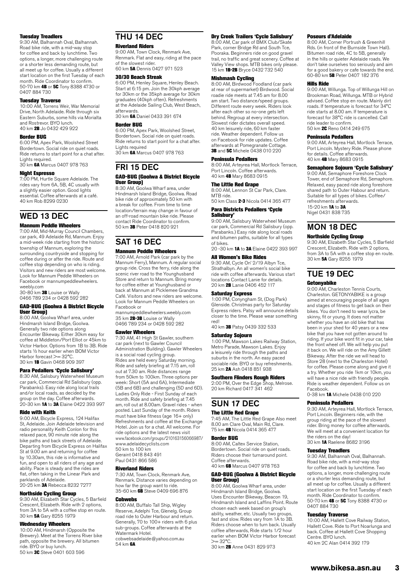#### Tuesday Treadlers

9:30 AM, Balhannah Oval, Balhannah. Road bike ride, with a mid-way stop for coffee and back by lunchtime. Two options, a longer, more challenging route or a shorter less demanding route, but all meet up for coffee. Usually a different start location on the first Tuesday of each month. Ride Coordinator to confirm. 50-70 km 4B or 5C Tony 8388 4730 or 0407 884 730

#### Tuesday Traverse

10:00 AM, Torrens Weir, War Memorial Drive, North Adelaide. Ride through six Eastern Suburbs, some hills via Morialta and Rostrevor. BYO lunch. 40 km 2B Jo 0432 429 922

#### Border BUG

6:00 PM, Apex Park, Woolshed Street Bordertown. Social ride on quiet roads. Ride returns to start point for a chat after. Lights required.

30 km 6A Marcus 0407 978 763

#### Night Espresso

7:00 PM, Hurtle Square Adelaide. The rides vary from 6A, 5B, 4C usually with a slightly easier option. Good lights essential. Coffee afterwards at a café. 40 km Rob 8299 0230

### WED 13 DEC

#### Mannum Peddle Wheelers

7:00 AM, Mid-Murray Council Chambers, car park, 49 Adelaide Rd, Mannum. Enjoy a mid-week ride starting from the historic township of Mannum, exploring the surrounding countryside and stopping for coffee during or after the ride. Route and coffee stop depending on who is riding. Visitors and new riders are most welcome. Look for Mannum Peddle Wheelers on Facebook or mannumpeddlewheelers. weebly.com

30-80 km 3B Louise or Wally 0466 789 234 or 0428 592 282

#### GAD-BUG (Goolwa & District Bicycle User Group)

8:00 AM, Goolwa Wharf area, under Hindmarsh Island Bridge, Goolwa. Generally two ride options along Encounter Bikeway. Either 30km easy for coffee at Middleton/Port Elliot or 45km to Victor Harbor. Options from 1B to 3B. Ride starts ½ hour earlier when BOM Victor Harbor forecast >= 32°C. 30 km 1B Gavin 0468 909 397

#### Para Pedallers 'Cycle Salisbury'

8:30 AM, Salisbury Waterwheel Museum car park, Commercial Rd Salisbury (opp. Parabanks). Easy ride along local trails and/or local roads, as decided by the group on the day. Coffee afterwards. 20-30 km 1A to 3A Elaine 0422 393 997

#### Ride with Keith

9:00 AM, Bicycle Express, 124 Halifax St, Adelaide. Join Adelaide television and radio personality Keith Conlon for this relaxed pace, 90 minute ride along the bike paths and back streets of Adelaide. Departing from Bicycle Express on Halifax St at 9.00 am and returning for coffee by 10.30am, this ride is informative and fun, and open to all riders of any age and ability. Pace is steady and the rides are flat, often taking in the Linear Park and parklands of Adelaide. 20-25 km 3A Rebecca 8232 7277

### Northside Cycling Group

9:30 AM, Elizabeth Star Cycles, 5 Barfield Crescent, Elizabeth. Ride with 2 options, from 3A to 5A with a coffee stop en route. 30 km 5A Gary 8255 1979

#### Wednesday Wheelers

10:00 AM, Hindmarsh (Opposite the Brewery). Meet at the Torrens River bike path, opposite the brewery. All bitumen ride. BYO or buy lunch. 50 km 3C Steve 0401 603 596

### THU 14 DEC

#### Riverland Riders

9:00 AM, Town Clock, Renmark Ave, Renmark. Flat and easy, riding at the pace of the slowest rider. 60 km 5A Dennis 0427 971 523

#### 30/30 Beach Streak

6:00 PM, Henley Square, Henley Beach. Start at 6:15 pm. Join the 30kph average for 30km or the 35kph average for 30km graduates (40kph often). Refreshments at the Adelaide Sailing Club, West Beach,

afterwards.<br>30 km **6A** Daniel 0433 391 674

#### Border BUG

6:00 PM, Apex Park, Woolshed Street, Bordertown. Social ride on quiet roads. Ride returns to start point for a chat after. Lights required 30 km 6A Marcus 0407 978 763

### FRI 15 DEC

#### GAD-BUG (Goolwa & District Bicycle User Group)

8:30 AM, Goolwa Wharf area, under Hindmarsh Island Bridge, Goolwa. Road bike ride of approximately 50 km with a break for coffee. From time to time location/terrain may change in favour of an off-road mountain bike ride. Please contact Ride Coordinator to confirm. 50 km 3B Peter 0418 820 921

# SAT 16 DEC

#### Mannum Peddle Wheelers 7:00 AM, Arnold Park (car park by the

Mannum Ferry), Mannum. A regular social group ride. Cross the ferry, ride along the scenic river road to the Younghusband Store and return to Mannum. Bring money for coffee either at Younghusband or back at Mannum at Picklemee Grandma Café. Visitors and new riders are welcome. Look for Mannum Peddle Wheelers on Facebook or

mannumpeddlewheelers.weebly.com 35 km 2B-3B Louise or Wally 0466 789 234 or 0428 592 282

#### Gawler Wheelers

7:30 AM, 41 High St Gawler, southern car park (next to Gawler Council Administration Building). Gawler Wheelers is a social road cycling group. Rides are held every Saturday morning. Ride and safety briefing at 7.15 am, roll out at 7.30 am. Ride distances range from 50km to 100km. Three options per week: Short (5A and 6A), Intermediate (5B and 6B) and challenging (5D and 6D). Ladies Only Ride - First Sunday of each month. Ride and safety briefing at 7.45 am, roll out at 8.00am. Gravel rides - when posted. Last Sunday of the month. Riders must have bike fitness (age 16+ only) Refreshments and coffee at the Exchange Hotel. Join us for a chat. All welcome. For ride options and the latest news visit www.facebook.com/groups/210163156066987/ www.adelaidecyclists.com 50 km to 100 km Geraint 0418 843 491 Paul 0431 866 586

#### Riverland Riders

7:30 AM, Town Clock, Renmark Ave, Renmark. Distance varies depending on how far the group want to ride. 35-60 km **6B** Steve 0409 696 876

#### **Cobwebs**

8:00 AM, Buffalo Tall Ship, Wigley Reserve, Adelphi Tce, Glenelg. Group road ride to Outer Harbour and return. Generally, 70 to 100+ riders with 6 plus sub-groups. Coffee afterwards at the Watermark Hotel. cobwebsadelaide@yahoo.com.au

54 km 6A

#### Dry Creek Trailers 'Cycle Salisbury'

8:00 AM, Car park of BMX Club/Skate Park, corner Bridge Rd and South Tce, Pooraka. Beginners ride on good gravel trail, no traffic and great scenery. Coffee at Valley View shops. MTB bikes only please. 15 km 1B-2B Bryce 0432 732 540

**Mishmash Cycling**<br>8:00 AM, Birdwood Foodland (car park at rear of supermarket) Birdwood. Social roadie ride meets at 7.45 am for 8.00 am start. Two distance/speed groups. Different route every week. Riders look after each other so no-one gets left behind. Regroup at every intersection. Slowest rider dictates overall speed. 40 km leisurely ride, 60 km faster ride. Weather dependent. Follow us on Facebook for ride updates. Coffee afterwards at Pomegranate Cottage. 3B and 5C Michele 0438 010 220

#### Peninsula Pedallers

8:00 AM, Arteyrea Hall, Mortlock Terrace, Port Lincoln. Coffee afterwards. 40 km 4B Mary 8683 0915

#### The Little Red Grape

8:00 AM, Lennon St Car Park, Clare. MTB ride. 50 km Class **2-3** Nicola 0414 365 477

Para Districts Pedallers 'Cycle

#### Salisbury' 9:00 AM, Salisbury Waterwheel Museum

car park, Commercial Rd Salisbury (opp. Parabanks.) Easy ride along local roads and bitumen paths, suitable for all types of bikes. or bikes.<br>20 -30 km **1A** to **3A** Elaine 0422 393 997

#### All Women's Bike Rides

9:30 AM, Cycle On' 2/19 Albyn Tce, Strathalbyn. An all women's social bike ride with coffee afterwards. Various start locations Contact Lanie for details. 20 km 2B Lanie 0406 452 117

#### Saturday Express

1:00 PM, Conyngham St, (Dog Park) Glenside. Christmas party for Saturday Express riders. Patsy will announce details closer to the time. Please wear something red! 40 km 3B Patsy 0439 332 533

### Saturday Sojourn

1:00 PM, Mawson Lakes Railway Station, Metro Parade, Mawson Lakes. Enjoy a leisurely ride through the paths and suburbs in the north. An easy paced sociable ride. BYO or buy refreshments. 25 km 2A Ash 0418 851 938

#### Southern Flinders Rough Riders

2:00 PM, Over the Edge Shop, Melrose. 20 km Richard 0417 341 462

#### SUN 17 DEC **The Little Red Grane**

7:45 AM, The Little Red Grape Also meet 8.00 am Clare Oval, Main Rd, Clare. 75 km 4B Nicola 0414 365 477

#### Border BUG

8:00 AM, Caltex Service Station, Bordertown. Social ride on quiet roads. Riders choose their turnaround point. Coffee afterwards. 40 km 6B Marcus 0407 978 763

#### GAD-BUG (Goolwa & District Bicycle User Group)

8:00 AM, Goolwa Wharf area, under Hindmarsh Island Bridge, Goolwa. Uses Encounter Bikeway, Beacon 19, Hindmarsh Island and Laffins Point. Route chosen each week based on group's ability, weather, etc. Usually two groups fast and slow. Rides vary from 1A to 3B. Riders choose when to turn back. Usually coffee afterwards, Ride starts 1/2 hour earlier when BOM Victor Harbor forecast  $>= 32^{\circ}C$ 

30 km 2B Anne 0431 829 973

#### Poseurs d'Adelaide

8:00 AM, Corner Portrush & Greenhill Rds. (in front of the Burnside Town Hall). Bitumen road ride, 4C to 5B, generally in the hills or quieter Adelaide roads. We don't take ourselves too seriously and aim for a good bakery or cafe towards the end. 60-80 km 5B Peter 0407 182 376

#### Hills Ride

9:00 AM, Willunga. Top of Willunga Hill on Brookman Road, Willunga. MTB or Hybrid advised. Coffee stop en route. Mainly dirt roads. If temperature is forecast for 34°C ride starts at 8.00 am. If temperature is forecast for 38°C ride is cancelled. Call ride leader to confirm. 50 km 2C Reno 0414 249 675

#### Peninsula Pedallers

9:00 AM, Arteyrea Hall, Mortlock Terrace, Port Lincoln. Mystery Ride. Please phone for details. Coffee afterwards. 40 km 4B Mary 8683 0915

#### Semaphore Sojourn 'Cycle Salisbury'

9:00 AM, Semaphore Foreshore Clock Tower, end of Semaphore Rd, Semaphore. Relaxed, easy paced ride along foreshore shared path to Outer Habour and return. Suitable for all types of bikes. Coffee/ refreshments afterwards. 15-20 km 1A to 3A Nigel 0431 838 735

## MON 18 DEC

#### Northside Cycling Group

9:30 AM, Elizabeth Star Cycles, 5 Barfield Crescent, Elizabeth. Ride with 2 options, from 3A to 5A with a coffee stop en route. 30 km 5A Gary 8255 1979

## TUE 19 DEC

#### Getonyabike

9:00 AM, Charleston Tennis Courts, Charleston. GETONYABIKE is a group aimed at encouraging people of all ages and stages of fitness to get back on their bikes. You don't need to wear lycra, be skinny, fit or young. It does not matter whether you have an old bike that has been in your shed for 40 years or a new bike that you have not gotten around to riding. If your bike wont fit in your car, take the front wheel off. We will help you put it back on. We will ride on the Amy Gillett Bikeway. After the ride we will head to Store 28 (next to the Charleston Hotel) for coffee. Please come along and give it a try. Whether you ride 1km or 10km, you will have a nice ride with friendly people. Ride is weather dependent. Follow us on Facebook.

0-38 km 1A Michele 0438 010 220

#### Peninsula Pedallers

9:30 AM, Arteyrea Hall, Mortlock Terrace, Port Lincoln. Beginners ride, with the group riding at the pace of the slowest rider. Bring money for coffee afterwards. We will meet at a convenient location for the riders on the day! 30 km 1A Raelene 8682 3196

### Tuesday Treadlers

9:30 AM, Balhannah Oval, Balhannah. Road bike ride, with a mid-way stop for coffee and back by lunchtime. Two options, a longer, more challenging route or a shorter less demanding route, but all meet up for coffee. Usually a different start location on the first Tuesday of each month. Ride Coordinator to confirm.<br>50-70 km **4B** or 5C Tony 8388 4730 or 0407 884 730

#### Tuesday Traverse

10:00 AM, Hallett Cove Railway Station, Hallett Cove. Ride to Port Noarlunga and back. Coffee at Hallett Cove Shopping Centre. BYO lunch. 40 km 2C Alan 0414 392 179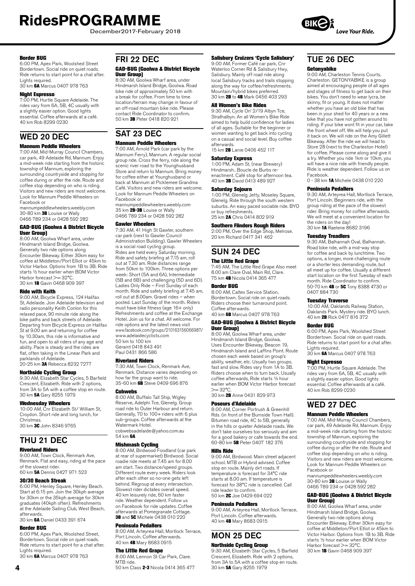December2017-February 2018

#### Border BUG

6:00 PM, Apex Park, Woolshed Street Bordertown. Social ride on quiet roads. Ride returns to start point for a chat after. Lights required. 30 km 6A Marcus 0407 978 763

#### Night Espresso

7:00 PM, Hurtle Square Adelaide. The rides vary from 6A, 5B, 4C usually with a slightly easier option. Good lights essential. Coffee afterwards at a café. 40 km Rob 8299 0230

### WED 20 DEC

#### Mannum Peddle Wheelers

7:00 AM, Mid-Murray Council Chambers, car park, 49 Adelaide Rd, Mannum. Enjoy a mid-week ride starting from the historic township of Mannum, exploring the surrounding countryside and stopping for coffee during or after the ride. Route and coffee stop depending on who is riding. Visitors and new riders are most welcome. Look for Mannum Peddle Wheelers on Facebook or

mannumpeddlewheelers.weebly.com 30-80 km **3B** Louise or Wally 0466 789 234 or 0428 592 282

#### GAD-BUG (Goolwa & District Bicycle User Group)

8:00 AM, Goolwa Wharf area, under Hindmarsh Island Bridge, Goolwa. Generally two ride options along Encounter Bikeway. Either 30km easy for coffee at Middleton/Port Elliot or 45km to Victor Harbor. Options from 1B to 3B. Ride starts ½ hour earlier when BOM Victor Harbor forecast >= 32°C. 30 km 1B Gavin 0468 909 397

#### Ride with Keith

9:00 AM, Bicycle Express, 124 Halifax St, Adelaide. Join Adelaide television and radio personality Keith Conlon for this relaxed pace, 90 minute ride along the bike paths and back streets of Adelaide. Departing from Bicycle Express on Halifax St at 9.00 am and returning for coffee by 10.30am, this ride is informative and fun, and open to all riders of any age and ability. Pace is steady and the rides are flat, often taking in the Linear Park and parklands of Adelaide.

20-25 km 3A Rebecca 8232 7277

#### Northside Cycling Group

9:30 AM, Elizabeth Star Cycles, 5 Barfield Crescent, Elizabeth. Ride with 2 options, from 3A to 5A with a coffee stop en route. 30 km 5A Gary 8255 1979

#### Wednesday Wheelers

10:00 AM, Cnr Elizabeth St/ William St, Croydon. Short ride and long lunch, for Christmas. 30 km 3C John 8346 9765

# THU 21 DEC

### Riverland Riders

9:00 AM, Town Clock, Renmark Ave, Renmark. Flat and easy, riding at the pace of the slowest rider. 60 km 5A Dennis 0427 971 523

#### 30/30 Beach Streak

6:00 PM, Henley Square, Henley Beach. Start at 6:15 pm. Join the 30kph average for 30km or the 35kph average for 30km graduates (40kph often). Refreshments at the Adelaide Sailing Club, West Beach, afterwards.

30 km 6A Daniel 0433 391 674

#### Border BUG

6:00 PM, Apex Park, Woolshed Street, Bordertown. Social ride on quiet roads. Ride returns to start point for a chat after. Lights required. 30 km 6A Marcus 0407 978 763

#### FRI 22 DEC

#### GAD-BUG (Goolwa & District Bicycle User Group)

8:30 AM, Goolwa Wharf area, under Hindmarsh Island Bridge, Goolwa. Road bike ride of approximately 50 km with a break for coffee. From time to time location/terrain may change in favour of an off-road mountain bike ride. Please contact Ride Coordinator to confirm. 50 km 3B Peter 0418 820 921

### SAT 23 DEC Mannum Peddle Wheelers

7:00 AM, Arnold Park (car park by the Mannum Ferry), Mannum. A regular social group ride. Cross the ferry, ride along the scenic river road to the Younghusband Store and return to Mannum. Bring money for coffee either at Younghusband or back at Mannum at Picklemee Grandma Café. Visitors and new riders are welcome. Look for Mannum Peddle Wheelers on Facebook or

mannumpeddlewheelers.weebly.com<br>35 km 2B-3B Louise or Wally 0466 789 234 or 0428 592 282

#### Gawler Wheelers

7:30 AM, 41 High St Gawler, southern car park (next to Gawler Council Administration Building). Gawler Wheelers is a social road cycling group. Rides are held every Saturday morning. Ride and safety briefing at 7.15 am, roll out at 7.30 am. Ride distances range from 50km to 100km. Three options per week: Short (5A and 6A), Intermediate (5B and 6B) and challenging (5D and 6D). Ladies Only Ride – First Sunday of each month. Ride and safety briefing at 7.45 am, roll out at 8.00am. Gravel rides – when posted. Last Sunday of the month. Riders must have bike fitness (age 16+ only) Refreshments and coffee at the Exchange Hotel. Join us for a chat. All welcome. For ride options and the latest news visit www.facebook.com/groups/210163156066987/ www.adelaidecyclists.com 50 km to 100 km

Geraint 0418 843 491 Paul 0431 866 586

#### Riverland Riders

7:30 AM, Town Clock, Renmark Ave, Renmark. Distance varies depending on how far the group want to ride. 35-60 km 68 Steve 0409 696 876

#### **Cobwebs**

8:00 AM, Buffalo Tall Ship, Wigley Reserve, Adelphi Tce, Glenelg. Group road ride to Outer Harbour and return. Generally, 70 to 100+ riders with 6 plus sub-groups. Coffee afterwards at the Watermark Hotel cobwebsadelaide@yahoo.com.au 54 km 6A

#### Mishmash Cycling

8:00 AM, Birdwood Foodland (car park at rear of supermarket) Birdwood. Social roadie ride meets at 7.45 am for 8.00 am start. Two distance/speed groups. Different route every week. Riders look after each other so no-one gets left behind. Regroup at every intersection. Slowest rider dictates overall speed. 40 km leisurely ride, 60 km faster ride. Weather dependent. Follow us on Facebook for ride updates. Coffee afterwards at Pomegranate Cottage. **3B** and 5C Michele 0438 010 220

#### Peninsula Pedallers

8:00 AM, Arteyrea Hall, Mortlock Terrace, Port Lincoln. Coffee afterwards. 40 km 4B Mary 8683 0915

#### The Little Red Grape

8:00 AM, Lennon St Car Park, Clare. MTB ride.

50 km Class 2-3 Nicola 0414 365 477

#### Salisbury Cruizers 'Cycle Salisbury'

9:00 AM, Former Café car park, Cnr Waterloo Corner Rd & Salisbury Hwy, Salisbury. Mainly off road ride along local Salisbury tracks and trails stopping along the way for coffee/refreshments. Mountain/hybrid bikes preferred. 30 km 2B to 4B Mark 0456 403 293

#### All Women's Bike Rides

9:30 AM, Cycle On' 2/19 Albyn Tce, Strathalbyn. An all Women's Bike Ride aimed to help build confidence for ladies of all ages. Suitable for the beginner or women wanting to get back into cycling on a casual and social level. Buy coffee afterwards. 15 km 2B Lanie 0406 452 117

#### Saturday Express

1:00 PM, Adam St, (near Brewery) Hindmarsh.. Boucle de Burbs reenactment. Café stop for afternoon tea. 40 km 3B David 0413 489 927

#### Saturday Sojourn

1:00 PM, Glenelg Jetty, Moseley Square, Glenelg. Ride through the south western suburbs. An easy paced sociable ride. BYO or buy refreshments. 25 km **2A** Chris 0414 802 919

#### Southern Flinders Rough Riders

2:00 PM, Over the Edge Shop, Melrose. 20 km Richard 0417 341 462

## SUN 24 DEC

### The Little Red Grape

7:45 AM, The Little Red Grape Also meet 8.00 am Clare Oval, Main Rd, Clare. 75 km 4B Nicola 0414 365 477

#### Border BUG

8:00 AM, Caltex Service Station, Bordertown. Social ride on quiet roads. Riders choose their turnaround point. Coffee afterwards. 40 km 6B Marcus 0407 978 763

#### GAD-BUG (Goolwa & District Bicycle User Group)

8:00 AM, Goolwa Wharf area, under Hindmarsh Island Bridge, Goolwa. Uses Encounter Bikeway, Beacon 19, Hindmarsh Island and Laffins Point. Route chosen each week based on group's ability, weather, etc. Usually two groups, fast and slow. Rides vary from 1A to 3B. Riders choose when to turn back. Usually coffee afterwards, Ride starts ½ hour earlier when BOM Victor Harbor forecast  $>= 32^{\circ}C$ 

30 km 2B Anne 0431 829 973

#### Poseurs d'Adelaide

8:00 AM, Corner Portrush & Greenhill Rds. (in front of the Burnside Town Hall). Bitumen road ride, 4C to 5B, generally in the hills or quieter Adelaide roads. We don't take ourselves too seriously and aim for a good bakery or cafe towards the end. 60-80 km 5B Peter 0407 182 376

#### Hills Ride

9:00 AM, Birdwood. Main street adjacent school. MTB or Hybrid advised. Coffee stop en route. Mainly dirt roads. If temperature is forecast for 34°C ride starts at 8.00 am. If temperature is forecast for 38°C ride is cancelled. Call ride leader to confirm. 50 km 2C Joe 0429 694 022

#### Peninsula Pedallers

9:00 AM, Arteyrea Hall, Mortlock Terrace, Port Lincoln. Coffee afterwards. 40 km 4B Mary 8683 0915

# MON 25 DEC

**Northside Cycling Group**<br>9:30 AM, Elizabeth Star Cycles, 5 Barfield Crescent, Elizabeth. Ride with 2 options, from 3A to 5A with a coffee stop en route. 30 km 5A Gary 8255 1979

### TUE 26 DEC

#### Getonyabike

9:00 AM, Charleston Tennis Courts, Charleston. GETONYABIKE is a group aimed at encouraging people of all ages and stages of fitness to get back on their bikes. You don't need to wear lycra, be skinny, fit or young. It does not matter whether you have an old bike that has been in your shed for 40 years or a new bike that you have not gotten around to riding. If your bike wont fit in your car, take the front wheel off. We will help you put it back on. We will ride on the Amy Gillett Bikeway. After the ride we will head to Store 28 (next to the Charleston Hotel) for coffee. Please come along and give it a try. Whether you ride 1km or 10km, you will have a nice ride with friendly people. Ride is weather dependent. Follow us on Facebook.

0 - 38 km 1A Michele 0438 010 220

#### Peninsula Pedallers

9:30 AM, Arteyrea Hall, Mortlock Terrace, Port Lincoln. Beginners ride, with the group riding at the pace of the slowest rider. Bring money for coffee afterwards. We will meet at a convenient location for the riders on the day! 30 km 1A Raelene 8682 3196

#### Tuesday Treadlers

9:30 AM, Balhannah Oval, Balhannah. Road bike ride, with a mid-way stop for coffee and back by lunchtime. Two options, a longer, more challenging route or a shorter less demanding route, but all meet up for coffee. Usually a different start location on the first Tuesday of each month. Ride Coordinator to confirm. 50-70 km 4B or 5C Tony 8388 4730 or 0407 884 730

#### Tuesday Traverse

10:00 AM, Oaklands Railway Station, Oaklands Park. Mystery ride. BYO lunch. 40 km 2B Rick 0417 816 372

#### Border BUG

6:00 PM, Apex Park, Woolshed Street Bordertown. Social ride on quiet roads. Ride returns to start point for a chat after. Lights required. 30 km 6A Marcus 0407 978 763

#### Night Espresso

7:00 PM, Hurtle Square Adelaide. The rides vary from 6A, 5B, 4C usually with a slightly easier option. Good lights essential. Coffee afterwards at a café. 40 km Rob 8299 0230

### WED 27 DEC

#### Mannum Peddle Wheelers

7:00 AM, Mid-Murray Council Chambers, car park, 49 Adelaide Rd, Mannum. Enjoy a mid-week ride starting from the historic township of Mannum, exploring the surrounding countryside and stopping for coffee during or after the ride. Route and coffee stop depending on who is riding. Visitors and new riders are most welcome. Look for Mannum Peddle Wheelers on Facebook or

mannumpeddlewheelers.weebly.com 30-80 km 3B Louise or Wally 0466 789 234 or 0428 592 282

#### GAD-BUG (Goolwa & District Bicycle User Group)

8:00 AM, Goolwa Wharf area, under Hindmarsh Island Bridge, Goolwa. Generally two ride options along Encounter Bikeway. Either 30km easy for coffee at Middleton/Port Elliot or 45km to Victor Harbor. Options from 1B to 3B. Ride starts ½ hour earlier when BOM Victor Harbor forecast >= 32°C. 30 km 1B Gavin 0468 909 397

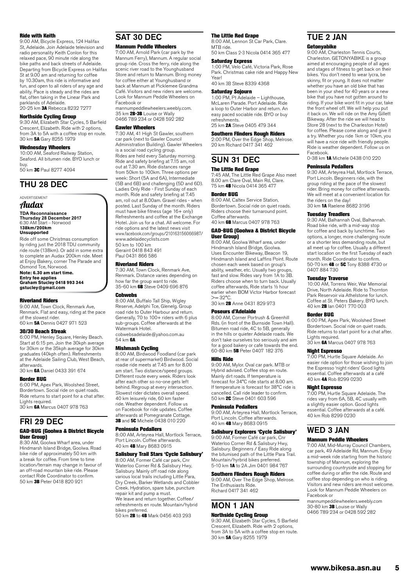#### Ride with Keith

9:00 AM, Bicycle Express, 124 Halifax St, Adelaide. Join Adelaide television and radio personality Keith Conlon for this relaxed pace, 90 minute ride along the bike paths and back streets of Adelaide. Departing from Bicycle Express on Halifax St at 9.00 am and returning for coffee by 10.30am, this ride is informative and fun, and open to all riders of any age and ability. Pace is steady and the rides are flat, often taking in the Linear Park and parklands of Adelaide.<br>20-25 km **3A** Rebecca 8232 7277

#### Northside Cycling Group

9:30 AM, Elizabeth Star Cycles, 5 Barfield Crescent, Elizabeth. Ride with 2 options, from 3A to 5A with a coffee stop en route. 30 km 5A Gary 8255 1979

#### Wednesday Wheelers

10:00 AM, Seaford Railway Station, Seaford. All bitumen ride. BYO lunch or buy.

50 km 3C Paul 8277 4094

### THU 28 DEC

#### ADVERTISEMENT

Audax

**TDA Reconnaissance Thursday 28 December 2017** 6:30 AM Start – Norwood **138km/200km**

#### **Unsupported**

Ride off some Christmas consumption by riding just the 2018 TDU community ride route (138km). Or add in some extra to complete an Audax 200km ride. Meet at Enjoy Bakery, corner The Parade and Osmond Tce, Norwood.

**Note: 6.30 am start time. Entry fee applies Graham Stucley 0418 993 344 [gstucley@gmail.com](mailto:gstucley@gmail.com)**

#### Riverland Riders

9:00 AM, Town Clock, Renmark Ave, Renmark. Flat and easy, riding at the pace of the slowest rider. 60 km 5A Dennis 0427 971 523

#### 30/30 Beach Streak

6:00 PM, Henley Square, Henley Beach. Start at 6:15 pm. Join the 30kph average for 30km or the 35kph average for 30km graduates (40kph often). Refreshments at the Adelaide Sailing Club, West Beach, afterwards.

30 km 6A Daniel 0433 391 674

#### Border BUG

6:00 PM, Apex Park, Woolshed Street, Bordertown. Social ride on quiet roads. Ride returns to start point for a chat after. Lights required.

30 km 6A Marcus 0407 978 763

### FRI 29 DEC

#### GAD-BUG (Goolwa & District Bicycle User Group)

8:30 AM, Goolwa Wharf area, under Hindmarsh Island Bridge, Goolwa. Road bike ride of approximately 50 km with a break for coffee. From time to time location/terrain may change in favour of an off-road mountain bike ride. Please contact Ride Coordinator to confirm. 50 km 3B Peter 0418 820 921

### SAT 30 DEC

#### Mannum Peddle Wheelers

7:00 AM, Arnold Park (car park by the Mannum Ferry), Mannum. A regular social group ride. Cross the ferry, ride along the scenic river road to the Younghusband Store and return to Mannum. Bring money for coffee either at Younghusband or back at Mannum at Picklemee Grandma Café. Visitors and new riders are welcome. Look for Mannum Peddle Wheelers on Facebook or

mannumpeddlewheelers.weebly.com. mammampedatemicolonemed<br>35 km 2B-3B Louise or Wally 0466 789 234 or 0428 592 282

#### Gawler Wheelers

7:30 AM, 41 High St Gawler, southern car park (next to Gawler Council Administration Building). Gawler Wheelers is a social road cycling group. Rides are held every Saturday morning. Ride and safety briefing at 7.15 am, roll out at 7.30 am. Ride distances range from 50km to 100km. Three options per week: Short (5A and 6A), Intermediate (5B and 6B) and challenging (5D and 6D). Ladies Only Ride - First Sunday of each month. Ride and safety briefing at 7.45 am, roll out at 8.00am. Gravel rides - when posted. Last Sunday of the month. Riders must have bike fitness (age 16+ only) Refreshments and coffee at the Exchange Hotel. Join us for a chat. All welcome. For ride options and the latest news visit www.facebook.com/groups/210163156066987/ www.adelaidecyclists.com 50 km to 100 km

Geraint 0418 843 491 Paul 0431 866 586

#### Riverland Riders

7:30 AM, Town Clock, Renmark Ave, Renmark. Distance varies depending on how far the group want to ride. 35-60 km **6B** Steve 0409 696 876

#### **Cohwebs**

8:00 AM, Buffalo Tall Ship, Wigley Reserve, Adelphi Tce, Glenelg. Group road ride to Outer Harbour and return. Generally, 70 to 100+ riders with 6 plus sub-groups. Coffee afterwards at the Watermark Hotel. cobwebsadelaide@yahoo.com.au 54 km 6A

Mishmash Cycling

8:00 AM, Birdwood Foodland (car park at rear of supermarket) Birdwood. Social roadie ride meets at 7.45 am for 8.00 am start. Two distance/speed groups. Different route every week. Riders look after each other so no-one gets left behind. Regroup at every intersection. Slowest rider dictates overall speed. 40 km leisurely ride, 60 km faster ride. Weather dependent. Follow us on Facebook for ride updates. Coffee afterwards at Pomegranate Cottage. 3B and 5C Michele 0438 010 220

#### Peninsula Pedallers

8:00 AM, Arteyrea Hall, Mortlock Terrace, Port Lincoln. Coffee afterwards. 40 km 4B Mary 8683 0915

### Salisbury Trail Stars 'Cycle Salisbury'

8:00 AM, Former Café car park, Cnr Waterloo Corner Rd & Salisbury Hwy, Salisbury. Mainly off road ride along various local trails including Little Para, Dry Creek, Barker Wetlands and Cobbler Creek. Hydration, spare tube, puncture repair kit and pump a must. We leave and return together. Coffee/ refreshments en route. Mountain/hybrid bikes preferred.

50 km 2B to 4B Mark 0456 403 293

#### The Little Red Grape

8:00 AM, Lennon St Car Park, Clare. MTB ride. 50 km Class 2-3 Nicola 0414 365 477

#### Saturday Express

1:00 PM, Velo Café, Victoria Park, Rose Park. Christmas cake ride and Happy New Year! 40 km 3B Steve 8339 4368

### Saturday Sojourn

1:00 PM, Pt Adelaide – Lighthouse, McLaren Parade. Port Adelaide. Ride a loop to Outer Harbor and return. An easy paced sociable ride. BYO or buy refreshments. 25 km **2A** Steve 0405 479 344

### Southern Flinders Rough Riders

2:00 PM, Over the Edge Shop, Melrose. 20 km Richard 0417 341 462

### SUN 31 DEC The Little Red Grape

7:45 AM, The Little Red Grape Also meet 8.00 am Clare Oval, Main Rd, Clare. 75 km 4B Nicola 0414 365 477

#### Border BUG

8:00 AM, Caltex Service Station, Bordertown. Social ride on quiet roads. Riders choose their turnaround point. Coffee afterwards. 40 km 6B Marcus 0407 978 763

#### GAD-BUG (Goolwa & District Bicycle User Group)

8:00 AM, Goolwa Wharf area, under Hindmarsh Island Bridge, Goolwa. Uses Encounter Bikeway, Beacon 19, Hindmarsh Island and Laffins Point. Route chosen each week based on group's ability, weather, etc. Usually two groups, fast and slow. Rides vary from 1A to 3B. Riders choose when to turn back. Usually coffee afterwards, Ride starts ½ hour earlier when BOM Victor Harbor forecast  $>= 32^{\circ}C$ 30 km 2B Anne 0431 829 973

#### Poseurs d'Adelaide

8:00 AM, Corner Portrush & Greenhill Rds. (in front of the Burnside Town Hall). Bitumen road ride, 4C to 5B, generally in the hills or quieter Adelaide roads. We don't take ourselves too seriously and aim for a good bakery or cafe towards the end. 60-80 km 5B Peter 0407 182 376

#### Hills Ride

9:00 AM, Mylor. Oval car park. MTB or Hybrid advised. Coffee stop en route. Mainly dirt roads. If temperature is forecast for 34°C ride starts at 8.00 am. If temperature is forecast for 38°C ride is cancelled. Call ride leader to confirm. 50 km 2C Steve 0401 603 596

#### Peninsula Pedallers

9:00 AM, Arteyrea Hall, Mortlock Terrace, Port Lincoln. Coffee afterwards. 40 km 4B Mary 8683 0915

#### Salisbury Explorers 'Cycle Salisbury'

9:00 AM, Former Café car park, Cnr Waterloo Corner Rd & Salisbury Hwy, Salisbury. Beginners / Easy Ride along the bitumised path of the Little Para Trail. Mountain/hyrbrid bikes preferred. 5-10 km 1A to 2A Jim 0401 984 767

#### Southern Flinders Rough Riders

9:00 AM, Over The Edge Shop, Melrose. The Enthusiasts Ride. Richard 0417 341 462

### MON 1 JAN

#### Northside Cycling Group

9:30 AM, Elizabeth Star Cycles, 5 Barfield Crescent, Elizabeth. Ride with 2 options, from 3A to 5A with a coffee stop en route. 30 km 5A Gary 8255 1979

### TUE 2 JAN Getonyabike

9:00 AM, Charleston Tennis Courts, Charleston. GETONYABIKE is a group aimed at encouraging people of all ages anned at encouraging people of an ages<br>and stages of fitness to get back on their bikes. You don't need to wear lycra, be skinny, fit or young. It does not matter whether you have an old bike that has been in your shed for 40 years or a new bike that you have not gotten around to riding. If your bike wont fit in your car, take the front wheel off. We will help you put it back on. We will ride on the Amy Gillett Bikeway. After the ride we will head to Store 28 (next to the Charleston Hotel) for coffee. Please come along and give it a try. Whether you ride 1km or 10km, you will have a nice ride with friendly people. Ride is weather dependent. Follow us on Facebook. 0-38 km 1A Michele 0438 010 220

#### Peninsula Pedallers

9:30 AM, Arteyrea Hall, Mortlock Terrace, Port Lincoln. Beginners ride, with the group riding at the pace of the slowest rider. Bring money for coffee afterwards. We will meet at a convenient location for the riders on the day! 30 km 1A Raelene 8682 3196

#### Tuesday Treadlers

9:30 AM, Balhannah Oval, Balhannah. Road bike ride, with a mid-way stop for coffee and back by lunchtime. Two options, a longer, more challenging route or a shorter less demanding route, but all meet up for coffee. Usually a different start location on the first Tuesday of each month. Ride Coordinator to confirm.<br>50-70 km 4B or 5C Tony 8388 4730 or 0407 884 730

#### Tuesday Traverse

10:00 AM, Torrens Weir, War Memorial Drive, North Adelaide. Ride to Thornton Park Reservoir via Athelstone for lunch. Coffee at St. Peters Bakery. BYO lunch. 40 km **2B** Ian 0401 770 003

#### Border BUG

6:00 PM, Apex Park, Woolshed Street Bordertown. Social ride on quiet roads. Ride returns to start point for a chat after. Lights required.<br>30 km **6A** Marcus 0407 978 763

#### Night Espresso

7:00 PM, Hurtle Square Adelaide. An easier ride option for those wishing to join the Espresso 'night riders' Good lights essential. Coffee afterwards at a café 40 km 4A Rob 8299 0230

#### Night Espresso

7:00 PM, Hurtle Square Adelaide. The rides vary from 6A, 5B, 4C usually with a slightly easier option. Good lights essential. Coffee afterwards at a café. 40 km Rob 8299 0230

## WED 3 JAN

### Mannum Peddle Wheelers

7:00 AM, Mid-Murray Council Chambers, car park, 49 Adelaide Rd, Mannum. Enjoy a mid-week ride starting from the historic township of Mannum, exploring the surrounding countryside and stopping for coffee during or after the ride. Route and coffee stop depending on who is riding. Visitors and new riders are most welcome. Look for Mannum Peddle Wheelers on Facebook or

mannumpeddlewheelers.weebly.com mammampedate mission since<br>30-80 km 3B Louise or Wally 0466 789 234 or 0428 592 282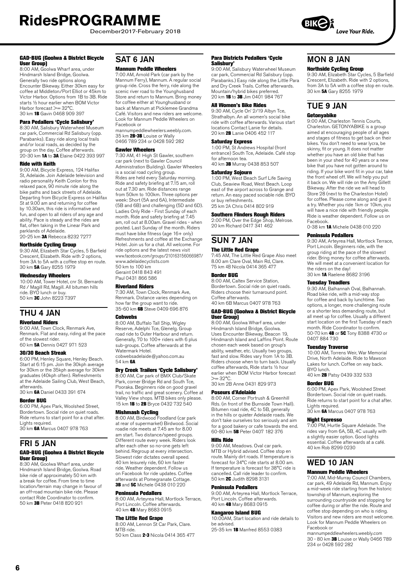December2017-February 2018

#### GAD-BUG (Goolwa & District Bicycle User Group)

8:00 AM, Goolwa Wharf area, under Hindmarsh Island Bridge, Goolwa. Generally two ride options along Encounter Bikeway. Either 30km easy for coffee at Middleton/Port Elliot or 45km to Victor Harbor. Options from 1B to 3B. Ride starts ½ hour earlier when BOM Victor Harbor forecast >= 32°C. 30 km 1B Gavin 0468 909 397

#### Para Pedallers 'Cycle Salisbury'

8:30 AM, Salisbury Waterwheel Museum car park, Commercial Rd Salisbury (opp. Parabanks). Easy ride along local trails and/or local roads, as decided by the group on the day. Coffee afterwards. 20-30 km 1A to 3A Elaine 0422 393 997

#### Ride with Keith

9:00 AM, Bicycle Express, 124 Halifax St, Adelaide. Join Adelaide television and radio personality Keith Conlon for this relaxed pace, 90 minute ride along the bike paths and back streets of Adelaide. Departing from Bicycle Express on Halifax St at 9.00 am and returning for coffee by 10.30am, this ride is informative and fun, and open to all riders of any age and ability. Pace is steady and the rides are flat, often taking in the Linear Park and parklands of Adelaide.<br>20-25 km **3A** Rebecca 8232 7277

### Northside Cycling Group

9:30 AM, Elizabeth Star Cycles, 5 Barfield Crescent, Elizabeth. Ride with 2 options, from 3A to 5A with a coffee stop en route. 30 km 5A Gary 8255 1979

#### Wednesday Wheelers

10:00 AM, Tower Hotel, cnr St. Bernards Rd / Magill Rd, Magill. All bitumen hills ride. BYO lunch or buy. 50 km 3C John 8223 7397

### THU 4 JAN

#### Riverland Riders

9:00 AM, Town Clock, Renmark Ave, Renmark. Flat and easy, riding at the pace of the slowest rider. 60 km 5A Dennis 0427 971 523

#### 30/30 Beach Streak

6:00 PM, Henley Square, Henley Beach. Start at 6:15 pm. Join the 30kph average for 30km or the 35kph average for 30km graduates (40kph often). Refreshments at the Adelaide Sailing Club, West Beach, afterwards.

30 km 6A Daniel 0433 391 674

#### Border BUG

6:00 PM, Apex Park, Woolshed Street, Bordertown. Social ride on quiet roads. Ride returns to start point for a chat after. Lights required.

30 km 6A Marcus 0407 978 763

### FRI 5 JAN

#### GAD-BUG (Goolwa & District Bicycle User Group)

8:30 AM, Goolwa Wharf area, under Hindmarsh Island Bridge, Goolwa. Road bike ride of approximately 50 km with a break for coffee. From time to time location/terrain may change in favour of an off-road mountain bike ride. Please contact Ride Coordinator to confirm.<br>50 km **3B** Peter 0418 820 921

### SAT 6 JAN

#### Mannum Peddle Wheelers

7:00 AM, Arnold Park (car park by the Mannum Ferry), Mannum. A regular social group ride. Cross the ferry, ride along the scenic river road to the Younghusband Store and return to Mannum. Bring money for coffee either at Younghusband or back at Mannum at Picklemee Grandma Café. Visitors and new riders are welcome. Look for Mannum Peddle Wheelers on Facebook or

mannumpeddlewheelers.weebly.com. 35 km 2B-3B Louise or Wally 0466 789 234 or 0428 592 282

#### Gawler Wheelers

7:30 AM, 41 High St Gawler, southern car park (next to Gawler Council Administration Building). Gawler Wheelers is a social road cycling group. Rides are held every Saturday morning. Ride and safety briefing at 7.15 am, roll out at 7.30 am. Ride distances range from 50km to 100km. Three options per week: Short (5A and 6A), Intermediate (5B and 6B) and challenging (5D and 6D). Ladies Only Ride - First Sunday of each month. Ride and safety briefing at 7.45 am, roll out at 8.00am. Gravel rides - when posted. Last Sunday of the month. Riders must have bike fitness (age 16+ only) Refreshments and coffee at the Exchange Hotel. Join us for a chat. All welcome. For ride options and the latest news visit www.facebook.com/groups/210163156066987/ www.adelaidecyclists.com 50 km to 100 km

Geraint 0418 843 491 Paul 0431 866 586

#### Riverland Riders

7:30 AM, Town Clock, Renmark Ave, Renmark. Distance varies depending on how far the group want to ride.<br>35-60 km **6B** Steve 0409 696 876

#### **Cobwebs**

8:00 AM, Buffalo Tall Ship, Wigley Reserve, Adelphi Tce, Glenelg. Group road ride to Outer Harbour and return. Generally, 70 to 100+ riders with 6 plus sub-groups. Coffee afterwards at the Watermark Hotel. cobwebsadelaide@yahoo.com.au

54 km 6A

### Dry Creek Trailers 'Cycle Salisbury'

8:00 AM, Car park of BMX Club/Skate Park, corner Bridge Rd and South Tce, Pooraka. Beginners ride on good gravel trail, no traffic and great scenery. Coffee at Valley View shops. MTB bikes only please. 15 km 1B to 2B Bryce 0432 732 540

**Mishmash Cycling**<br>8:00 AM, Birdwood Foodland (car park at rear of supermarket) Birdwood. Social roadie ride meets at 7.45 am for 8.00 am start. Two distance/speed groups. Different route every week. Riders look after each other so no-one gets left behind. Regroup at every intersection. Slowest rider dictates overall speed. 40 km leisurely ride, 60 km faster ride. Weather dependent. Follow us on Facebook for ride updates. Coffee afterwards at Pomegranate Cottage. **3B** and **5C** Michele 0438 010 220

#### Peninsula Pedallers

8:00 AM, Arteyrea Hall, Mortlock Terrace, Port Lincoln. Coffee afterwards. 40 km 4B Mary 8683 0915

#### The Little Red Grape

8:00 AM, Lennon St Car Park, Clare. MTB ride. 50 km Class 2-3 Nicola 0414 365 477

#### Para Districts Pedallers 'Cycle Salisbury'

9:00 AM, Salisbury Waterwheel Museum car park, Commercial Rd Salisbury (opp. Parabanks.) Easy ride along the Little Para and Dry Creek Trails. Coffee afterwards. Mountain/hybrid bikes preferred. 20 km **1B** to **3B** Jim 0401 984 767

#### All Women's Bike Rides

9:30 AM, Cycle On' 2/19 Albyn Tce, Strathalbyn. An all women's social bike ride with coffee afterwards. Various start locations Contact Lanie for details. 20 km 2B Lanie 0406 452 117

#### Saturday Express

1:00 PM, St Andrews Hospital (front entrance) South Tce, Adelaide. Café stop for afternoon tea. 40 km 3B Murray 0438 853 507

#### Saturday Sojourn

1:00 PM, West Beach Surf Life Saving Club, Seaview Road, West Beach. Loop east of the airport across to Grange and return. An easy paced sociable ride. BYO or buy refreshments. 25 km 2A Chris 0414 802 919

### Southern Flinders Rough Riders

2:00 PM, Over the Edge Shop, Melrose. 20 km Richard 0417 341 462

### SUN 7 JAN

#### The Little Red Grape

7:45 AM, The Little Red Grape Also meet 8.00 am Clare Oval, Main Rd, Clare. 75 km 4B Nicola 0414 365 477

#### Border BUG

8:00 AM, Caltex Service Station, Bordertown. Social ride on quiet roads. Riders choose their turnaround point. Coffee afterwards. 40 km 6B Marcus 0407 978 763

#### GAD-BUG (Goolwa & District Bicycle User Group)

8:00 AM, Goolwa Wharf area, under Hindmarsh Island Bridge, Goolwa. Uses Encounter Bikeway, Beacon 19, Hindmarsh Island and Laffins Point. Route chosen each week based on group's ability, weather, etc. Usually two groups fast and slow. Rides vary from 1A to 3B. Riders choose when to turn back. Usually coffee afterwards, Ride starts ½ hour earlier when BOM Victor Harbor forecast  $>= 32^{\circ}C$ 

30 km 2B Anne 0431 829 973

#### Poseurs d'Adelaide

8:00 AM, Corner Portrush & Greenhill Rds. (in front of the Burnside Town Hall). Bitumen road ride, 4C to 5B, generally in the hills or quieter Adelaide roads. We don't take ourselves too seriously and aim for a good bakery or cafe towards the end. 60-80 km 5B Peter 0407 182 376

#### Hills Ride

9:00 AM, Meadows. Oval car park. MTB or Hybrid advised. Coffee stop en route. Mainly dirt roads. If temperature is forecast for 34°C ride starts at 8.00 am. If temperature is forecast for 38°C ride is cancelled. Call ride leader to confirm. 50 km 2C Judith 8298 3131

#### Peninsula Pedallers

9:00 AM, Arteyrea Hall, Mortlock Terrace, Port Lincoln. Coffee afterwards. 40 km 4B Mary 8683 0915

#### Kangaroo Island BUG

10:00AM, Start location and ride details to be advised. 25-35 km 1B Manfred 8553 0383

## MON 8 JAN

Northside Cycling Group 9:30 AM, Elizabeth Star Cycles, 5 Barfield Crescent, Elizabeth. Ride with 2 options, from 3A to 5A with a coffee stop en route. 30 km 5A Gary 8255 1979

### TUE 9 JAN Getonyabike

9:00 AM, Charleston Tennis Courts, Charleston. GETONYABIKE is a group aimed at encouraging people of all ages and stages of fitness to get back on their bikes. You don't need to wear lycra, be skinny, fit or young. It does not matter whether you have an old bike that has been in your shed for 40 years or a new bike that you have not gotten around to riding. If your bike wont fit in your car, take the front wheel off. We will help you put it back on. We will ride on the Amy Gillett Bikeway. After the ride we will head to Store 28 (next to the Charleston Hotel) for coffee. Please come along and give it a try. Whether you ride 1km or 10km, you will have a nice ride with friendly people. Ride is weather dependent. Follow us on Facebook.

0-38 km 1A Michele 0438 010 220

#### Peninsula Pedallers

9:30 AM, Arteyrea Hall, Mortlock Terrace, Port Lincoln. Beginners ride, with the group riding at the pace of the slowest rider. Bring money for coffee afterwards. We will meet at a convenient location for the riders on the day! 30 km 1A Raelene 8682 3196

#### Tuesday Treadlers

9:30 AM, Balhannah Oval, Balhannah. Road bike ride, with a mid-way stop for coffee and back by lunchtime. Two options, a longer, more challenging route or a shorter less demanding route, but all meet up for coffee. Usually a different start location on the first Tuesday of each month. Ride Coordinator to confirm. 50-70 km 4B or 5C Tony 8388 4730 or 0407 884 730

#### Tuesday Traverse

10:00 AM, Torrens Weir, War Memorial Drive, North Adelaide. Ride to Mawson Lakes for lunch. Coffee on way back. BYO lunch.

40 km 2B Patsy 0439 332 533

#### Border BUG

6:00 PM, Apex Park, Woolshed Street Bordertown. Social ride on quiet roads. Ride returns to start point for a chat after. Lights required.

30 km 6A Marcus 0407 978 763

#### Night Espresso

7:00 PM, Hurtle Square Adelaide. The rides vary from 6A, 5B, 4C usually with a slightly easier option. Good lights essential. Coffee afterwards at a café. 40 km Rob 8299 0230

### WED 10 JAN Mannum Peddle Wheelers

### 7:00 AM, Mid-Murray Council Chambers,

car park, 49 Adelaide Rd, Mannum. Enjoy a mid-week ride starting from the historic township of Mannum, exploring the surrounding countryside and stopping for coffee during or after the ride. Route and coffee stop depending on who is riding. Visitors and new riders are most welcome. Look for Mannum Peddle Wheelers on Facebook or

mannumpeddlewheelers.weebly.com 30 - 80 km 3B Louise or Wally 0466 789 234 or 0428 592 282

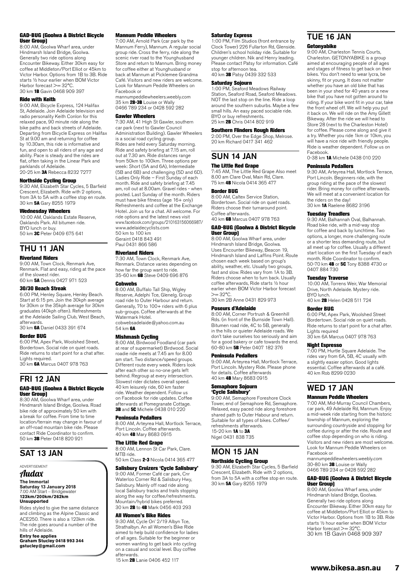#### GAD-BUG (Goolwa & District Bicycle User Group)

8:00 AM, Goolwa Wharf area, under Hindmarsh Island Bridge, Goolwa. Generally two ride options along Encounter Bikeway. Either 30km easy for coffee at Middleton/Port Elliot or 45km to Victor Harbor. Options from 1B to 3B. Ride starts ½ hour earlier when BOM Victor Harbor forecast >= 32°C 30 km 1B Gavin 0468 909 397

#### Ride with Keith

9:00 AM, Bicycle Express, 124 Halifax St, Adelaide. Join Adelaide television and radio personality Keith Conlon for this relaxed pace, 90 minute ride along the bike paths and back streets of Adelaide. Departing from Bicycle Express on Halifax St at 9.00 am and returning for coffee by 10.30am, this ride is informative and fun, and open to all riders of any age and ability. Pace is steady and the rides are flat, often taking in the Linear Park and parklands of Adelaide.<br>20-25 km **3A** Rebecca 8232 7277

### Northside Cycling Group

9:30 AM, Elizabeth Star Cycles, 5 Barfield Crescent, Elizabeth. Ride with 2 options, from 3A to 5A with a coffee stop en route. 30 km 5A Gary 8255 1979

#### Wednesday Wheelers

10:00 AM, Oaklands Estate Reserve, Oaklands Park. All bitumen ride. BYO lunch or buy.<br>50 km **3C** Peter 0409 675 641

### THU 11 JAN

#### Riverland Riders

9:00 AM, Town Clock, Renmark Ave, Renmark. Flat and easy, riding at the pace of the slowest rider. 60 km 5A Dennis 0427 971 523

#### 30/30 Beach Streak

6:00 PM, Henley Square, Henley Beach. Start at 6:15 pm. Join the 30kph average for 30km or the 35kph average for 30km graduates (40kph often). Refreshments at the Adelaide Sailing Club, West Beach, afterwards.

30 km 6A Daniel 0433 391 674

#### Border BUG

6:00 PM, Apex Park, Woolshed Street, Bordertown. Social ride on quiet roads. Ride returns to start point for a chat after. Lights required.<br>30 km **6A** Marcus 0407 978 763

FRI 12 JAN GAD-BUG (Goolwa & District Bicycle User Group)

8:30 AM, Goolwa Wharf area, under Hindmarsh Island Bridge, Goolwa. Road bike ride of approximately 50 km with a break for coffee. From time to time location/terrain may change in favour of an off-road mountain bike ride. Please contact Ride Coordinator to confirm. 50 km 3B Peter 0418 820 921

### SAT 13 JAN

ADVERTISEMENT

#### Audax

**The Immortal Saturday 13 January 2018** 7.00 AM Start – Bridgewater **123km/200km/262km Unsupported**

Rides styled to give the same distance and climbing as the Alpine Classic and ACE250. There is also a 123km ride. The ride goes around a number of the hills of Adelaide.

**Entry fee applies Graham Stucley 0418 993 344 gstucley@gmail.com**

#### Mannum Peddle Wheelers

7:00 AM, Arnold Park (car park by the Mannum Ferry), Mannum. A regular social group ride. Cross the ferry, ride along the scenic river road to the Younghusband Store and return to Mannum. Bring money for coffee either at Younghusband or back at Mannum at Picklemee Grandma Café. Visitors and new riders are welcome. Look for Mannum Peddle Wheelers on Facebook or

mannumpeddlewheelers.weebly.com 35 km 2B-3B Louise or Wally 0466 789 234 or 0428 592 282

#### Gawler Wheelers

7:30 AM, 41 High St Gawler, southern car park (next to Gawler Council) Administration Building). Gawler Wheelers is a social road cycling group. Rides are held every Saturday morning. Ride and safety briefing at 7.15 am, roll out at 7.30 am. Ride distances range from 50km to 100km. Three options per week: Short (5A and 6A), Intermediate (5B and 6B) and challenging (5D and 6D). Ladies Only Ride – First Sunday of each month. Ride and safety briefing at 7.45 am, roll out at 8.00am. Gravel rides - when posted. Last Sunday of the month. Riders must have bike fitness (age 16+ only) Refreshments and coffee at the Exchange Hotel. Join us for a chat. All welcome. For ride options and the latest news visit www.facebook.com/groups/210163156066987/ www.adelaidecyclists.com 50 km to 100 km Geraint 0418 843 491 Paul 0431 866 586

#### Riverland Riders

7:30 AM, Town Clock, Renmark Ave, Renmark. Distance varies depending on how far the group want to ride. 35-60 km 6B Steve 0409 696 876

#### **Cobwebs**

8:00 AM, Buffalo Tall Ship, Wigley Reserve, Adelphi Tce, Glenelg. Group road ride to Outer Harbour and return. Generally, 70 to 100+ riders with 6 plus sub-groups. Coffee afterwards at the Watermark Hotel. cobwebsadelaide@yahoo.com.au 54 km 6A

**Mishmash Cycling**<br>8:00 AM, Birdwood Foodland (car park at rear of supermarket) Birdwood. Social roadie ride meets at 7.45 am for 8.00 am start. Two distance/speed groups. Different route every week. Riders look after each other so no-one gets left behind. Regroup at every intersection. Slowest rider dictates overall speed. 40 km leisurely ride, 60 km faster ride. Weather dependent. Follow us on Facebook for ride updates. Coffee afterwards at Pomegranate Cottage. 3B and 5C Michele 0438 010 220

#### Peninsula Pedallers

8:00 AM, Arteyrea Hall, Mortlock Terrace, Port Lincoln. Coffee afterwards. 40 km 4B Mary 8683 0915

#### The Little Red Grape

8:00 AM, Lennon St Car Park, Clare. MTR ride<sup>1</sup>

### 50 km Class 2-3 Nicola 0414 365 477

#### Salisbury Cruizers 'Cycle Salisbury'

9:00 AM, Former Café car park, Cnr Waterloo Corner Rd & Salisbury Hwy, Salisbury. Mainly off road ride along local Salisbury tracks and trails stopping along the way for coffee/refreshments. Mountain/hybrid bikes preferred. 30 km 2B to 4B Mark 0456 403 293

#### All Women's Bike Rides

9:30 AM, Cycle On' 2/19 Albyn Tce, Strathalbyn. An all Women's Bike Ride aimed to help build confidence for ladies of all ages. Suitable for the beginner or women wanting to get back into cycling on a casual and social level. Buy coffee afterwards.

15 km **2B** Lanie 0406 452 117

#### Saturday Express

1:00 PM, Film Studios (front entrance by Clock Tower) 226 Fullarton Rd, Glenside. Children's school holiday ride. Suitable for younger children. Nik and Henry leading. Please contact Patsy for information. Café stop for afternoon tea. 40 km 3B Patsy 0439 332 533

#### Saturday Sojourn

1:00 PM, Seaford Meadows Railway Station, Seaford Road, Seaford Meadows. NOT the last stop on the line. Ride a loop around the southern suburbs. Maybe a few small hills. An easy paced sociable ride. BYO or buy refreshments. 25 km 2B Chris 0414 802 919

#### Southern Flinders Rough Riders

2:00 PM, Over the Edge Shop, Melrose. 20 km Richard 0417 341 462

### SUN 14 JAN The Little Red Grape

7:45 AM, The Little Red Grape Also meet 8.00 am Clare Oval, Main Rd, Clare. 75 km 4B Nicola 0414 365 477

#### Border BUG

8:00 AM, Caltex Service Station, Bordertown. Social ride on quiet roads. Riders choose their turnaround point. Coffee afterwards. 40 km 6B Marcus 0407 978 763

#### GAD-BUG (Goolwa & District Bicycle under Group)

8:00 AM, Goolwa Wharf area, under Hindmarsh Island Bridge, Goolwa. Uses Encounter Bikeway, Beacon 19, Hindmarsh Island and Laffins Point. Route chosen each week based on group's ability, weather, etc. Usually two groups, fast and slow. Rides vary from 1A to 3B. Riders choose when to turn back. Usually coffee afterwards, Ride starts ½ hour earlier when BOM Victor Harbor forecast  $>= 32^{\circ}C$ 30 km 2B Anne 0431 829 973

#### Poseurs d'Adelaide

8:00 AM, Corner Portrush & Greenhill Rds. (in front of the Burnside Town Hall). Bitumen road ride, 4C to 5B, generally in the hills or quieter Adelaide roads. We don't take ourselves too seriously and aim for a good bakery or cafe towards the end. 60-80 km 5B Peter 0407 182 376

#### Peninsula Pedallers

9:00 AM, Arteyrea Hall, Mortlock Terrace, Port Lincoln. Mystery Ride. Please phone for details. Coffee afterwards 40 km 4B Mary 8683 0915

#### Semaphore Sojourn 'Cycle Salisbury'

9:00 AM, Semaphore Foreshore Clock Tower, end of Semaphore Rd, Semaphore. Relaxed, easy paced ride along foreshore shared path to Outer Habour and return. Suitable for all types of bikes. Coffee/ refreshments afterwards. 15-20 km 1A to 3A Nigel 0431 838 735

### MON 15 JAN Northside Cycling Group

9:30 AM, Elizabeth Star Cycles, 5 Barfield Crescent, Elizabeth. Ride with 2 options, from 3A to 5A with a coffee stop en route. 30 km 5A Gary 8255 1979

## TUE 16 JAN

#### Getonyabike

9:00 AM, Charleston Tennis Courts, Charleston. GETONYABIKE is a group aimed at encouraging people of all ages and stages of fitness to get back on their bikes. You don't need to wear lycra, be skinny, fit or young. It does not matter whether you have an old bike that has been in your shed for 40 years or a new bike that you have not gotten around to riding. If your bike wont fit in your car, take the front wheel off. We will help you put it back on. We will ride on the Amy Gillett Bikeway. After the ride we will head to Store 28 (next to the Charleston Hotel) for coffee. Please come along and give it a try. Whether you ride 1km or 10km, you will have a nice ride with friendly people. Ride is weather dependent. Follow us on Facebook.

0-38 km 1A Michele 0438 010 220

#### Peninsula Pedallers

9:30 AM, Arteyrea Hall, Mortlock Terrace, Port Lincoln. Beginners ride, with the group riding at the pace of the slowest rider. Bring money for coffee afterwards. We will meet at a convenient location for the riders on the day! 30 km 1A Raelene 8682 3196

#### Tuesday Treadlers

9:30 AM, Balhannah Oval, Balhannah. Road bike ride, with a mid-way stop for coffee and back by lunchtime. Two options, a longer, more challenging route or a shorter less demanding route, but all meet up for coffee. Usually a different start location on the first Tuesday of each month. Ride Coordinator to confirm. 50-70 km 4B or 5C Tony 8388 4730 or 0407 884 730

#### Tuesday Traverse

10:00 AM, Torrens Weir, War Memorial Drive, North Adelaide. Mystery ride. BYO lunch. 40 km 2B Helen 0428 511 724

#### Border BUG

6:00 PM, Apex Park, Woolshed Street Bordertown. Social ride on quiet roads. Ride returns to start point for a chat after. Lights required 30 km 6A Marcus 0407 978 763

#### Night Espresso

7:00 PM, Hurtle Square Adelaide. The rides vary from 6A, 5B, 4C usually with a slightly easier option. Good lights essential. Coffee afterwards at a café. 40 km Rob 8299 0230

### WED 17 JAN

#### Mannum Peddle Wheelers

7:00 AM, Mid-Murray Council Chambers, car park, 49 Adelaide Rd, Mannum. Enjoy a mid-week ride starting from the historic township of Mannum, exploring the surrounding countryside and stopping for coffee during or after the ride. Route and coffee stop depending on who is riding. Visitors and new riders are most welcome. Look for Mannum Peddle Wheelers on Facebook or mannumpeddlewheelers.weebly.com

30-80 km 3B Louise or Wally 0466 789 234 or 0428 592 282

#### GAD-BUG (Goolwa & District Bicycle User Group)

8:00 AM, Goolwa Wharf area, under Hindmarsh Island Bridge, Goolwa. Generally two ride options along Encounter Bikeway. Either 30km easy for coffee at Middleton/Port Elliot or 45km to Victor Harbor. Options from 1B to 3B. Ride starts ½ hour earlier when BOM Victor Harbor forecast >= 32°C. 30 km 1B Gavin 0468 909 397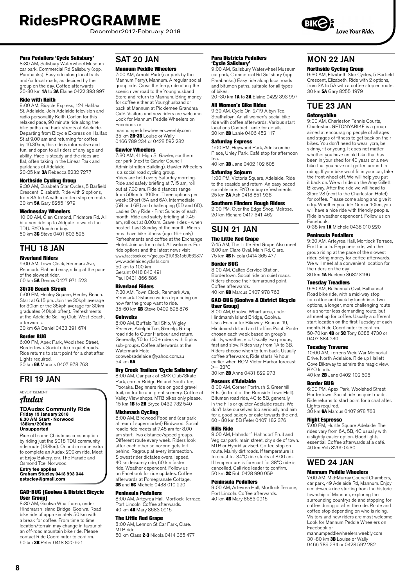December2017-February 2018

#### Para Pedallers 'Cycle Salisbury'

8:30 AM, Salisbury Waterwheel Museum car park, Commercial Rd Salisbury (opp. Parabanks). Easy ride along local trails and/or local roads, as decided by the group on the day. Coffee afterwards. 20-30 km 1A to 3A Elaine 0422 393 997

#### Ride with Keith

9:00 AM, Bicycle Express, 124 Halifax St, Adelaide. Join Adelaide television and radio personality Keith Conlon for this relaxed pace, 90 minute ride along the bike paths and back streets of Adelaide. Departing from Bicycle Express on Halifax St at 9.00 am and returning for coffee by 10.30am, this ride is informative and fun, and open to all riders of any age and ability. Pace is steady and the rides are flat, often taking in the Linear Park and parklands of Adelaide.

20-25 km **3A** Rebecca 8232 7277

### Northside Cycling Group

9:30 AM, Elizabeth Star Cycles, 5 Barfield Crescent, Elizabeth. Ride with 2 options, from 3A to 5A with a coffee stop en route. 30 km 5A Gary 8255 1979

#### Wednesday Wheelers

10:00 AM, Glen Osmond, Pridmore Rd. All bitumen ride up to Aldgate to watch the TDU. BYO lunch or buy. 50 km 3C Steve 0401 603 596

## THU 18 JAN

#### Riverland Riders

9:00 AM, Town Clock, Renmark Ave, Renmark. Flat and easy, riding at the pace of the slowest rider. 60 km 5A Dennis 0427 971 523

#### 30/30 Beach Streak

6:00 PM, Henley Square, Henley Beach. Start at 6:15 pm. Join the 30kph average for 30km or the 35kph average for 30km graduates (40kph often). Refreshments at the Adelaide Sailing Club, West Beach, afterwards. 30 km 6A Daniel 0433 391 674

Border BUG 6:00 PM, Apex Park, Woolshed Street, Bordertown. Social ride on quiet roads. Ride returns to start point for a chat after.

Lights required. 30 km 6A Marcus 0407 978 763

### FRI 19 JAN

### ADVERTISEMENT

Audax

### **TDAudax Community Ride Friday 19 January 2018 6.30 AM Start - Norwood 138km/200km Unsupported**

Ride off some Christmas consumption by riding just the 2018 TDU community ride route (138km). Or add in some extra to complete an Audax 200km ride. Meet at Enjoy Bakery, cnr. The Parade and Osmond Tce. Norwood.

**Entry fee applies Graham Stucley 0418 993 344 gstucley@gmail.com**

#### GAD-BUG (Goolwa & District Bicycle User Group)

8:30 AM, Goolwa Wharf area, under Hindmarsh Island Bridge, Goolwa. Road bike ride of approximately 50 km with a break for coffee. From time to time location/terrain may change in favour of an off-road mountain bike ride. Please contact Ride Coordinator to confirm. 50 km 3B Peter 0418 820 921

### SAT 20 JAN

### Mannum Peddle Wheelers

7:00 AM, Arnold Park (car park by the Mannum Ferry), Mannum. A regular social group ride. Cross the ferry, ride along the scenic river road to the Younghusband Store and return to Mannum. Bring money for coffee either at Younghusband or back at Mannum at Picklemee Grandma Café. Visitors and new riders are welcome. Look for Mannum Peddle Wheelers on Facebook or

mannumpeddlewheelers.weebly.com 35 km 2B-3B Louise or Wally 0466 789 234 or 0428 592 282

#### Gawler Wheelers

7:30 AM, 41 High St Gawler, southern car park (next to Gawler Council Administration Building). Gawler Wheelers is a social road cycling group. Rides are held every Saturday morning. Ride and safety briefing at 7.15 am, roll out at 7.30 am. Ride distances range from 50km to 100km. Three options per week: Short (5A and 6A), Intermediate (5B and 6B) and challenging (5D and 6D). Ladies Only Ride - First Sunday of each month. Ride and safety briefing at 7.45 am, roll out at 8.00am. Gravel rides - when posted. Last Sunday of the month. Riders must have bike fitness (age 16+ only) Refreshments and coffee at the Exchange Hotel. Join us for a chat. All welcome. For ride options and the latest news visit www.facebook.com/groups/210163156066987/ www.adelaidecyclists.com 50 km to 100 km

Geraint 0418 843 491 Paul 0431 866 586

#### Riverland Riders

7:30 AM, Town Clock, Renmark Ave, Renmark. Distance varies depending on how far the group want to ride.<br>35-60 km **6B** Steve 0409 696 876

#### **Cobwebs**

8:00 AM, Buffalo Tall Ship, Wigley Reserve, Adelphi Tce, Glenelg. Group road ride to Outer Harbour and return. Generally, 70 to 100+ riders with 6 plus sub-groups. Coffee afterwards at the Watermark Hotel. cobwebsadelaide@yahoo.com.au 54 km 6A

#### Dry Creek Trailers 'Cycle Salisbury'

8:00 AM, Car park of BMX Club/Skate Park, corner Bridge Rd and South Tce, Pooraka. Beginners ride on good gravel trail, no traffic and great scenery. Coffee at Valley View shops. MTB bikes only please. 15 km 1B to 2B Bryce 0432 732 540

**Mishmash Cycling**<br>8:00 AM, Birdwood Foodland (car park at rear of supermarket) Birdwood. Social roadie ride meets at 7.45 am for 8.00 am start. Two distance/speed groups. Different route every week. Riders look after each other so no-one gets left behind. Regroup at every intersection. Slowest rider dictates overall speed. 40 km leisurely ride, 60 km faster ride. Weather dependent. Follow us on Facebook for ride updates. Coffee afterwards at Pomegranate Cottage. **3B** and **5C** Michele 0438 010 220

#### Peninsula Pedallers

8:00 AM, Arteyrea Hall, Mortlock Terrace, Port Lincoln. Coffee afterwards. 40 km 4B Mary 8683 0915

#### The Little Red Grape

8:00 AM, Lennon St Car Park, Clare. MTB ride

50 km Class 2-3 Nicola 0414 365 477

#### Para Districts Pedallers 'Cycle Salisbury'

9:00 AM, Salisbury Waterwheel Museum car park, Commercial Rd Salisbury (opp Parabanks.) Easy ride along local roads and bitumen paths, suitable for all types of bikes. 20 -30 km **1A** to 3A Elaine 0422 393 997

#### All Women's Bike Rides

9:30 AM, Cycle On' 2/19 Albyn Tce, Strathalbyn. An all women's social bike ride with coffee afterwards. Various start locations Contact Lanie for details. 20 km 2B Lanie 0406 452 117

#### Saturday Express

1:00 PM, Heywood Park, Addiscombe Place, Unley Park. Café stop for afternoon tea.

40 km 3B Jane 0402 102 608

#### Saturday Sojourn

1:00 PM, Victoria Square, Adelaide. Ride to the seaside and return. An easy paced sociable ride. BYO or buy refreshments. 25 km 2A Ash 0418 851 938

#### Southern Flinders Rough Riders

2:00 PM, Over the Edge Shop, Melrose. 20 km Richard 0417 341 462

### SUN 21 JAN

#### The Little Red Grape

7:45 AM, The Little Red Grape Also meet 8.00 am Clare Oval, Main Rd, Clare. 75 km 4B Nicola 0414 365 477

#### Border BUG

8:00 AM, Caltex Service Station, Bordertown. Social ride on quiet roads. Riders choose their turnaround point. Coffee afterwards. 40 km 6B Marcus 0407 978 763

#### GAD-BUG (Goolwa & District Bicycle User Group)

8:00 AM, Goolwa Wharf area, under Hindmarsh Island Bridge, Goolwa. Uses Encounter Bikeway, Beacon 19, Hindmarsh Island and Laffins Point. Route chosen each week based on group's ability, weather, etc. Usually two groups fast and slow. Rides vary from 1A to 3B. Riders choose when to turn back. Usually coffee afterwards, Ride starts ½ hour earlier when BOM Victor Harbor forecast  $>= 32^{\circ}C$ 

30 km 2B Anne 0431 829 973

#### Poseurs d'Adelaide

8:00 AM, Corner Portrush & Greenhill Rds. (in front of the Burnside Town Hall). Bitumen road ride, 4C to 5B, generally in the hills or quieter Adelaide roads. We don't take ourselves too seriously and aim for a good bakery or cafe towards the end. 60 - 80 km 5B Peter 0407 182 376

#### Hills Ride

9:00 AM, Hahndorf. Hahndorf Fruit and Veg car park, main street, city side of town. MTB or Hybrid advised. Coffee stop en route. Mainly dirt roads. If temperature is forecast for 34°C ride starts at 8.00 am. If temperature is forecast for 38°C ride is cancelled. Call ride leader to confirm. 50 km 2C Rob 0428 990 059

#### Peninsula Pedallers

9:00 AM, Arteyrea Hall, Mortlock Terrace, Port Lincoln. Coffee afterwards. 40 km 4B Mary 8683 0915

## MON 22 JAN

Northside Cycling Group 9:30 AM, Elizabeth Star Cycles, 5 Barfield Crescent, Elizabeth. Ride with 2 options, from 3A to 5A with a coffee stop en route. 30 km 5A Gary 8255 1979

### TUE 23 JAN Getonyabike

9:00 AM, Charleston Tennis Courts, Charleston. GETONYABIKE is a group aimed at encouraging people of all ages and stages of fitness to get back on their bikes. You don't need to wear lycra, be skinny, fit or young. It does not matter whether you have an old bike that has been in your shed for 40 years or a new bike that you have not gotten around to riding. If your bike wont fit in your car, take the front wheel off. We will help you put it back on. We will ride on the Amy Gillett Bikeway. After the ride we will head to Store 28 (next to the Charleston Hotel) for coffee. Please come along and give it a try. Whether you ride 1km or 10km, you will have a nice ride with friendly people. Ride is weather dependent. Follow us on Facebook.

0-38 km 1A Michele 0438 010 220

#### Peninsula Pedallers

9:30 AM, Arteyrea Hall, Mortlock Terrace, Port Lincoln. Beginners ride, with the group riding at the pace of the slowest rider. Bring money for coffee afterwards. We will meet at a convenient location for the riders on the day! 30 km 1A Raelene 8682 3196

#### Tuesday Treadlers

9:30 AM, Balhannah Oval, Balhannah. Road bike ride, with a mid-way stop for coffee and back by lunchtime. Two options, a longer, more challenging route or a shorter less demanding route, but all meet up for coffee. Usually a different start location on the first Tuesday of each month. Ride Coordinator to confirm. 50-70 km 4B or 5C Tony 8388 4730 or 0407 884 730

Tuesday Traverse<br>10:00 AM, Torrens Weir, War Memorial Drive, North Adelaide. Ride up Hallett Cove Bikeway to admire the magic view. BYO lunch.

40 km 2B Jane 0402 102 608

#### Border BUG

6:00 PM, Apex Park, Woolshed Street Bordertown. Social ride on quiet roads. Ride returns to start point for a chat after. Lights required.

30 km 6A Marcus 0407 978 763

#### Night Espresso

7:00 PM, Hurtle Square Adelaide. The rides vary from 6A, 5B, 4C usually with a slightly easier option. Good lights essential. Coffee afterwards at a café. 40 km Rob 8299 0230

### WED 24 JAN Mannum Peddle Wheelers

7:00 AM, Mid-Murray Council Chambers, car park, 49 Adelaide Rd, Mannum. Enjoy a mid-week ride starting from the historic township of Mannum, exploring the surrounding countryside and stopping for coffee during or after the ride. Route and coffee stop depending on who is riding. Visitors and new riders are most welcome. Look for Mannum Peddle Wheelers on Facebook or

mannumpeddlewheelers.weebly.com 30 -80 km 3B Louise or Wally 0466 789 234 or 0428 592 282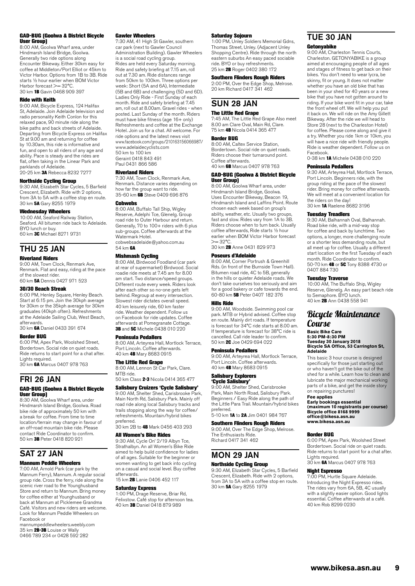#### GAD-BUG (Goolwa & District Bicycle User Group)

8:00 AM, Goolwa Wharf area, under Hindmarsh Island Bridge, Goolwa. Generally two ride options along Encounter Bikeway. Either 30km easy for coffee at Middleton/Port Elliot or 45km to Victor Harbor. Options from 1B to 3B. Ride starts ½ hour earlier when BOM Victor Harbor forecast >= 32°C 30 km 1B Gavin 0468 909 397

#### Ride with Keith

9:00 AM, Bicycle Express, 124 Halifax St, Adelaide. Join Adelaide television and radio personality Keith Conlon for this relaxed pace, 90 minute ride along the bike paths and back streets of Adelaide. Departing from Bicycle Express on Halifax St at 9.00 am and returning for coffee by 10.30am, this ride is informative and fun, and open to all riders of any age and ability. Pace is steady and the rides are flat, often taking in the Linear Park and parklands of Adelaide.

20-25 km 3A Rebecca 8232 7277

### Northside Cycling Group

9:30 AM, Elizabeth Star Cycles, 5 Barfield Crescent, Elizabeth. Ride with 2 options, from 3A to 5A with a coffee stop en route. 30 km 5A Gary 8255 1979

#### Wednesday Wheelers

10:00 AM, Seaford Railway Station, Seaford. All bitumen ride back to Adelaide. BYO lunch or buy. 60 km 3C Michael 8271 9731

### THU 25 JAN

#### Riverland Riders

9:00 AM, Town Clock, Renmark Ave, Renmark. Flat and easy, riding at the pace of the slowest rider. 60 km 5A Dennis 0427 971 523

#### 30/30 Beach Streak

6:00 PM, Henley Square, Henley Beach. Start at 6:15 pm. Join the 30kph average for 30km or the 35kph average for 30km graduates (40kph often). Refreshments at the Adelaide Sailing Club, West Beach, afterwards. 30 km 6A Daniel 0433 391 674

#### Border BUG

6:00 PM, Apex Park, Woolshed Street, Bordertown. Social ride on quiet roads. Ride returns to start point for a chat after. Lights required.

30 km 6A Marcus 0407 978 763

# FRI 26 JAN

#### GAD-BUG (Goolwa & District Bicycle User Group)

8:30 AM, Goolwa Wharf area, under Hindmarsh Island Bridge, Goolwa. Road bike ride of approximately 50 km with a break for coffee. From time to time location/terrain may change in favour of an off-road mountain bike ride. Please contact Ride Coordinator to confirm. 50 km 3B Peter 0418 820 921

# SAT 27 JAN

#### Mannum Peddle Wheelers

7:00 AM, Arnold Park (car park by the Mannum Ferry), Mannum. A regular social group ride. Cross the ferry, ride along the scenic river road to the Younghusband Store and return to Mannum. Bring money for coffee either at Younghusband or back at Mannum at Picklemee Grandma Café. Visitors and new riders are welcome. Look for Mannum Peddle Wheelers on Facebook or

mannumpeddlewheelers.weebly.com<br>35 km **2B-3B** Louise or Wally 0466 789 234 or 0428 592 282

#### Gawler Wheelers

7:30 AM, 41 High St Gawler, southern car park (next to Gawler Council Administration Building). Gawler Wheelers is a social road cycling group. Rides are held every Saturday morning. Ride and safety briefing at 7.15 am, roll out at 7.30 am. Ride distances range from 50km to 100km. Three options per week: Short (5A and 6A), Intermediate (5B and 6B) and challenging (5D and 6D). Ladies Only Ride - First Sunday of each month. Ride and safety briefing at 7.45 am, roll out at 8.00am. Gravel rides - when posted. Last Sunday of the month. Riders must have bike fitness (age 16+ only) Refreshments and coffee at the Exchange Hotel. Join us for a chat. All welcome. For ride options and the latest news visit www.facebook.com/groups/210163156066987/ www.adelaidecyclists.com 50 km to 100 km Geraint 0418 843 491 Paul 0431 866 586

#### Riverland Riders

7:30 AM, Town Clock, Renmark Ave, Renmark. Distance varies depending on how far the group want to ride. 35-60 km 6B Steve 0409 696 876

#### Cobwebs

8:00 AM, Buffalo Tall Ship, Wigley Reserve, Adelphi Tce, Glenelg. Group road ride to Outer Harbour and return. Generally, 70 to 100+ riders with 6 plus sub-groups. Coffee afterwards at the Watermark Hotel. cobwebsadelaide@yahoo.com.au 54 km **6A** 

**Mishmash Cycling**<br>8:00 AM, Birdwood Foodland (car park at rear of supermarket) Birdwood. Social roadie ride meets at 7.45 am for 8.00 am start. Two distance/speed groups. Different route every week. Riders look after each other so no-one gets left behind. Regroup at every intersection. Slowest rider dictates overall speed. 40 km leisurely ride, 60 km faster ride. Weather dependent. Follow us on Facebook for ride updates. Coffee afterwards at Pomegranate Cottage. **3B** and **5C** Michele 0438 010 220

#### Peninsula Pedallers

8:00 AM, Arteyrea Hall, Mortlock Terrace, Port Lincoln. Coffee afterwards. 40 km 4B Mary 8683 0915

#### The Little Red Grape

8:00 AM, Lennon St Car Park, Clare. MTB ride.

50 km Class 2-3 Nicola 0414 365 477

#### Salisbury Cruizers 'Cycle Salisbury'

9:00 AM, Shelter Shed, Carisbrooke Park, Main North Rd, Salisbury Park. Mainly off road ride along local Salisbury tracks and trails stopping along the way for coffee/ refreshments. Mountain/hybrid bikes

preferred.<br>30 km 2B to **4B** Mark 0456 403 293

#### All Women's Bike Rides

9:30 AM, Cycle On' 2/19 Albyn Tce, Strathalbyn. An all Women's Bike Ride aimed to help build confidence for ladies of all ages. Suitable for the beginner or women wanting to get back into cycling on a casual and social level. Buy coffee afterwards.

15 km 2B Lanie 0406 452 117

#### Saturday Express

1:00 PM, Drage Reserve, Briar Rd, Felixstow. Café stop for afternoon tea. 40 km 3B Daniel 0418 879 989

#### Saturday Sojourn

1:00 PM, Unley Soldiers Memorial Gdns, Thomas Street, Unley. (Adjacent Unley Shopping Centre). Ride through the north eastern suburbs An easy paced sociable ride. BYO or buy refreshments. 25 km 2B Roger 0402 380 172

#### Southern Flinders Rough Riders

2:00 PM, Over the Edge Shop, Melrose. 20 km Richard 0417 341 462

### SUN 28 JAN

#### The Little Red Grape

7:45 AM, The Little Red Grape Also meet 8.00 am Clare Oval, Main Rd, Clare. 75 km 4B Nicola 0414 365 477

#### Border BUG

8:00 AM, Caltex Service Station, Bordertown. Social ride on quiet roads. Riders choose their turnaround point. Coffee afterwards. 40 km 6B Marcus 0407 978 763

#### GAD-BUG (Goolwa & District Bicycle User Group)

8:00 AM, Goolwa Wharf area, under Hindmarsh Island Bridge, Goolwa. Uses Encounter Bikeway, Beacon 19, Hindmarsh Island and Laffins Point. Route chosen each week based on group's ability, weather, etc. Usually two groups fast and slow. Rides vary from 1A to 3B. Riders choose when to turn back. Usually coffee afterwards, Ride starts ½ hour earlier when BOM Victor Harbor forecast  $>= 32^{\circ}C$ 

30 km 2B Anne 0431 829 973

#### Poseurs d'Adelaide

8:00 AM, Corner Portrush & Greenhill Rds. (in front of the Burnside Town Hall). Bitumen road ride, 4C to 5B, generally in the hills or quieter Adelaide roads. We don't take ourselves too seriously and aim for a good bakery or cafe towards the end. 60-80 km 5B Peter 0407 182 376

#### Hills Ride

9:00 AM, Woodside. Swimming pool car park. MTB or Hybrid advised. Coffee stop en route. Mainly dirt roads. If temperature is forecast for 34°C ride starts at 8.00 am. If temperature is forecast for 38°C ride is cancelled. Call ride leader to confirm. 50 km **2C** Joe 0429 694 022

#### Peninsula Pedallers

9:00 AM, Arteyrea Hall, Mortlock Terrace, Port Lincoln. Coffee afterwards. 40 km 4B Mary 8683 0915

Salisbury Explorers

**'Cycle Salisbury'**<br>9:00 AM, Shelter Shed, Carisbrooke Park, Main North Road, Salisbury Park. Beginners / Easy Ride along the path of the Little Para Trail. Mountain/hybrid bikes preferred. 5-10 km 1A to 2A Jim 0401 984 767

#### Southern Flinders Rough Riders

9:00 AM, Over The Edge Shop, Melrose. The Enthusiasts Ride. Richard 0417 341 462

#### MON 29 JAN

#### Northside Cycling Group

9:30 AM, Elizabeth Star Cycles, 5 Barfield Crescent, Elizabeth. Ride with 2 options, from 3A to 5A with a coffee stop en route.<br>30 km **5A** Gary 8255 1979

### TUE 30 JAN Getonyabike

9:00 AM, Charleston Tennis Courts, Charleston. GETONYABIKE is a group aimed at encouraging people of all ages and stages of fitness to get back on their bikes. You don't need to wear lycra, be skinny, fit or young. It does not matter whether you have an old bike that has been in your shed for 40 years or a new bike that you have not gotten around to riding. If your bike wont fit in your car, take the front wheel off. We will help you put it back on. We will ride on the Amy Gillett Bikeway. After the ride we will head to Store 28 (next to the Charleston Hotel) for coffee. Please come along and give it a try. Whether you ride 1km or 10km, you will have a nice ride with friendly people. Ride is weather dependent. Follow us on Facebook. 0-38 km 1A Michele 0438 010 220

#### Peninsula Pedallers

9:30 AM, Arteyrea Hall, Mortlock Terrace, Port Lincoln. Beginners ride, with the group riding at the pace of the slowest rider. Bring money for coffee afterwards. We will meet at a convenient location for the riders on the day! 30 km 1A Raelene 8682 3196

#### Tuesday Treadlers

9:30 AM, Balhannah Oval, Balhannah. Road bike ride, with a mid-way stop for coffee and back by lunchtime. Two options, a longer, more challenging route or a shorter less demanding route, but all meet up for coffee. Usually a different start location on the first Tuesday of each month. Ride Coordinator to confirm.<br>50-70 km 4B or 5C Tony 8388 4730 or 0407 884 730

#### Tuesday Traverse

10:00 AM, The Buffalo Ship, Wigley Reserve, Glenelg. An easy part beach ride to Semaphore. BYO lunch. 40 km 2B Ann 0438 558 941

### Bicycle Maintenance **Course**

### **Basic Bike Care 5:30 PM-8:30 PM Tuesday 30 January 2018 Bicycle SA Office, 53 Carrington St, Adelaide**

This basic 3 hour course is designed specifically for those just starting out or who haven't got the bike out of the shed for a while. Learn how to clean and lubricate the major mechanical working parts of a bike, and get the inside story on repairing punctures!

#### **Fee applies Early bookings essential (maximum 10 registrants per course) Bicycle office 8168 9999 office@bikesa.asn.au [www.bikesa.asn.au](http://www.bikesa.asn.au)**

Border BUG 6:00 PM, Apex Park, Woolshed Street Bordertown. Social ride on quiet roads. Ride returns to start point for a chat after. Lights required. 30 km 6A Marcus 0407 978 763

### Night Espresso

7:00 PM, Hurtle Square Adelaide. Introducing the Night Expresso rides. The rides vary from 6A, 5B, 4C usually with a slightly easier option. Good lights essential. Coffee afterwards at a café. 40 km Rob 8299 0230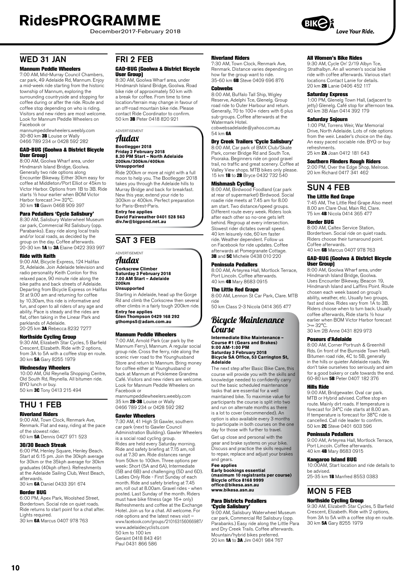December2017-February 2018

## WED 31 JAN

#### Mannum Peddle Wheelers

7:00 AM, Mid-Murray Council Chambers, car park, 49 Adelaide Rd, Mannum. Enjoy a mid-week ride starting from the historic township of Mannum, exploring the surrounding countryside and stopping for coffee during or after the ride. Route and coffee stop depending on who is riding. Visitors and new riders are most welcome. Look for Mannum Peddle Wheelers on Facebook or

mannumpeddlewheelers.weebly.com 30-80 km **3B** Louise or Wally 0466 789 234 or 0428 592 282

#### GAD-BUG (Goolwa & District Bicycle User Group)

8:00 AM, Goolwa Wharf area, under Hindmarsh Island Bridge, Goolwa. Generally two ride options along Encounter Bikeway. Either 30km easy for coffee at Middleton/Port Elliot or 45km to Victor Harbor. Options from 1B to 3B. Ride starts ½ hour earlier when BOM Victor Harbor forecast >= 32°C. 30 km 1B Gavin 0468 909 397

#### Para Pedallers 'Cycle Salisbury'

8:30 AM, Salisbury Waterwheel Museum car park, Commercial Rd Salisbury (opp. Parabanks). Easy ride along local trails and/or local roads, as decided by the group on the day. Coffee afterwards. 20-30 km 1A to 3A Elaine 0422 393 997

#### Ride with Keith

9:00 AM, Bicycle Express, 124 Halifax St, Adelaide. Join Adelaide television and radio personality Keith Conlon for this relaxed pace, 90 minute ride along the bike paths and back streets of Adelaide. Departing from Bicycle Express on Halifax St at 9.00 am and returning for coffee by 10.30am, this ride is informative and fun, and open to all riders of any age and ability. Pace is steady and the rides are flat, often taking in the Linear Park and parklands of Adelaide. .<br>20-25 km 3A Rebecca 8232 7277

### Northside Cycling Group

9:30 AM, Elizabeth Star Cycles, 5 Barfield Crescent, Elizabeth. Ride with 2 options, from 3A to 5A with a coffee stop en route. 30 km 5A Gary 8255 1979

#### Wednesday Wheelers

10:00 AM, Old Reynella Shopping Centre, Old South Rd, Reynella. All bitumen ride. BYO lunch or buy.<br>50 km **3C** Tony 0413 215 494

### THU 1 FEB

### Riverland Riders

9:00 AM, Town Clock, Renmark Ave, Renmark. Flat and easy, riding at the pace of the slowest rider. 60 km 5A Dennis 0427 971 523

#### 30/30 Beach Streak

6:00 PM, Henley Square, Henley Beach. Start at 6:15 pm. Join the 30kph average for 30km or the 35kph average for 30km graduates (40kph often). Refreshments at the Adelaide Sailing Club, West Beach, afterwards.

30 km 6A Daniel 0433 391 674

#### Border BUG

6:00 PM, Apex Park, Woolshed Street, Bordertown. Social ride on quiet roads. Ride returns to start point for a chat after. Lights required. 30 km 6A Marcus 0407 978 763

### FRI 2 FEB

#### GAD-BUG (Goolwa & District Bicycle User Group)

8:30 AM, Goolwa Wharf area, under Hindmarsh Island Bridge, Goolwa. Road bike ride of approximately 50 km with a break for coffee. From time to time location/terrain may change in favour of an off-road mountain bike ride. Please contact Ride Coordinator to confirm. 50 km 3B Peter 0418 820 921

ADVERTISEMENT

### Audax

### **Bootlegger 2018 Friday 2 February 2018 8.30 PM Start – North Adelaide 200km/300km/400km Unsupported**

Ride 200km or more at night with a full moon to help you. The Bootlegger 2018 takes you through the Adelaide hills to Murray Bridge and back for breakfast. New this year, extend your ride to 300km or 400km. Perfect preparation for Paris-Brest-Paris.

**Entry fee applies David Fairweather 0401 528 563 div.fw@bigpond.net.au**

### SAT 3 FEB

### ADVERTISEMENT

### Audax

**Corkscrew Climber Saturday 3 February 2018 7.00 AM Start – Adelaide 200km**

#### **Unsupported**

Starting in Adelaide, head up the Gorge Rd and climb the Corkscrew then several other climbs in a fairly tough 200km ride.

**Entry fee applies Glen Thompson 0429 168 292 gthomps5@adam.com.au**

#### Mannum Peddle Wheelers

7:00 AM, Arnold Park (car park by the Mannum Ferry), Mannum. A regular social group ride. Cross the ferry, ride along the scenic river road to the Younghusband Store and return to Mannum. Bring money for coffee either at Younghusband or back at Mannum at Picklemee Grandma Café. Visitors and new riders are welcome. Look for Mannum Peddle Wheelers on Facebook or

mannumpeddlewheelers.weebly.com 35 km 2B-3B Louise or Wally 0466 789 234 or 0428 592 282

#### Gawler Wheelers

7:30 AM, 41 High St Gawler, southern car park (next to Gawler Council Administration Building). Gawler Wheelers is a social road cycling group. Rides are held every Saturday morning. Ride and safety briefing at 7.15 am, roll out at 7.30 am. Ride distances range from 50km to 100km. Three options per week: Short (5A and 6A), Intermediate (5B and 6B) and challenging (5D and 6D). Ladies Only Ride - First Sunday of each month. Ride and safety briefing at 7.45 am, roll out at 8.00am. Gravel rides - when posted. Last Sunday of the month. Riders must have bike fitness (age 16+ only) Refreshments and coffee at the Exchange Hotel. Join us for a chat. All welcome. For ride options and the latest news visit – www.facebook.com/groups/210163156066987/ www.adelaidecyclists.com 50 km to 100 km Geraint 0418 843 491 Paul 0431 866 586

#### Riverland Riders

7:30 AM, Town Clock, Renmark Ave, Renmark. Distance varies depending on how far the group want to ride.<br>35-60 km **6B** Steve 0409 696 876

#### Cobwebs

8:00 AM, Buffalo Tall Ship, Wigley Reserve, Adelphi Tce, Glenelg. Group road ride to Outer Harbour and return. Generally, 70 to 100+ riders with 6 plus sub-groups. Coffee afterwards at the Watermark Hotel. cobwebsadelaide@yahoo.com.au

#### 54 km **6A**

Dry Creek Trailers 'Cycle Salisbury' 8:00 AM, Car park of BMX Club/Skate Park, corner Bridge Rd and South Tce, Pooraka. Beginners ride on good gravel trail, no traffic and great scenery. Coffee at Valley View shops. MTB bikes only please. 15 km 1B to 2B Bryce 0432 732 540

#### Mishmash Cycling

8:00 AM, Birdwood Foodland (car park at rear of supermarket) Birdwood. Social roadie ride meets at 7.45 am for 8.00 am start. Two distance/speed groups. Different route every week. Riders look after each other so no-one gets left behind. Regroup at every intersection. Slowest rider dictates overall speed. 40 km leisurely ride, 60 km faster ride. Weather dependent. Follow us on Facebook for ride updates. Coffee afterwards at Pomegranate Cottage. 3B and 5C Michele 0438 010 220

#### Peninsula Pedallers

8:00 AM, Arteyrea Hall, Mortlock Terrace, Port Lincoln. Coffee afterwards. 40 km 4B Mary 8683 0915

#### The Little Red Grape

8:00 AM, Lennon St Car Park, Clare. MTB ride

50 km Class 2-3 Nicola 0414 365 477

### Bicycle Maintenance Course

#### **Intermediate Bike Maintenance – Course #1 (Gears and Brakes) 9:00 AM-1:00 PM Saturday 3 February 2018 Bicycle SA Office, 53 Carrington St, Adelaide**

The next step after Basic Bike Care, this course will provide you with the skills and knowledge needed to confidently carry out the basic scheduled maintenance tasks that are essential for a well maintained bike. To maximise value for participants the course is split into two and run on alternate months as there is a lot to cover (recommended). An option is also available every 3 months to participate in both courses on the one day for those with further to travel.

Get up close and personal with the gear and brake systems on your bike. Discuss and practice the skills required to repair, replace and adjust your brakes and gears.

#### **Fee applies Early bookings essential (maximum 10 registrants per course) Bicycle office 8168 9999 office@bikesa.asn.au www.bikesa.asn.au**

## Para Districts Pedallers

**'Cycle Salisbury'**<br>9:00 AM, Salisbury Waterwheel Museum car park, Commercial Rd Salisbury (opp. Parabanks.) Easy ride along the Little Para and Dry Creek Trails. Coffee afterwards. Mountain/hybrid bikes preferred. 20 km 1A to 3A Jim 0401 984 767

#### All Women's Bike Rides

9:30 AM, Cycle On' 2/19 Albyn Tce, Strathalbyn. An all women's social bike ride with coffee afterwards. Various start locations Contact Lanie for details. 20 km 2B Lanie 0406 452 117

#### Saturday Express

1:00 PM, Glenelg Town Hall, (adjacent to jetty) Glenelg. Café stop for afternoon tea. 40 km 3B Alan 0414 392 179

#### Saturday Sojourn

1:00 PM, Torrens Weir, War Memorial Drive, North Adelaide. Lots of ride options from the weir. Leader's choice on the day. An easy paced sociable ride. BYO or buy refreshments.

25 km 2A Joan 0412 181 643

### Southern Flinders Rough Riders

2:00 PM, Over the Edge Shop, Melrose. 20 km Richard 0417 341 462

### SUN 4 FEB

#### The Little Red Grape

7:45 AM, The Little Red Grape Also meet 8.00 am Clare Oval, Main Rd, Clare. 75 km 4B Nicola 0414 365 477

#### Border BUG

8:00 AM, Caltex Service Station, Bordertown. Social ride on quiet roads. Riders choose their turnaround point. Coffee afterwards. 40 km 6B Marcus 0407 978 763

### GAD-BUG (Goolwa & District Bicycle

User Group) 8:00 AM, Goolwa Wharf area, under Hindmarsh Island Bridge, Goolwa. Uses Encounter Bikeway, Beacon 19, Hindmarsh Island and Laffins Point. Route chosen each week based on group's ability, weather, etc. Usually two groups, fast and slow. Rides vary from 1A to 3B. Riders choose when to turn back. Usually coffee afterwards, Ride starts ½ hour earlier when BOM Victor Harbor forecast  $>= 32^{\circ}C$ .

#### 30 km 2B Anne 0431 829 973

#### Poseurs d'Adelaide

8:00 AM, Corner Portrush & Greenhill Rds. (in front of the Burnside Town Hall). Bitumen road ride, 4C to 5B, generally in the hills or quieter Adelaide roads. We don't take ourselves too seriously and aim for a good bakery or cafe towards the end. 60-80 km 5B Peter 0407 182 376

#### Hills Ride

9:00 AM, Bridgewater. Oval car park. MTB or Hybrid advised. Coffee stop en route. Mainly dirt roads. If temperature is forecast for 34°C ride starts at 8.00 am. If temperature is forecast for 38°C ride is cancelled. Call ride leader to confirm. 50 km 2C Steve 0401 603 596

#### Peninsula Pedallers

9:00 AM, Arteyrea Hall, Mortlock Terrace, Port Lincoln. Coffee afterwards. 40 km 4B Mary 8683 0915

#### Kangaroo Island BUG

10:00AM, Start location and ride details to be advised.

25-35 km 1B Manfred 8553 0383

## MON 5 FEB

Northside Cycling Group 9:30 AM, Elizabeth Star Cycles, 5 Barfield Crescent, Elizabeth. Ride with 2 options, from 3A to 5A with a coffee stop en route. 30 km 5A Gary 8255 1979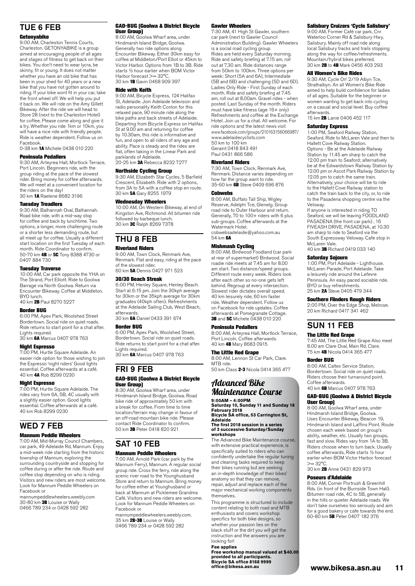## TUE 6 FEB

#### Getonyabike

9:00 AM, Charleston Tennis Courts, Charleston. GETONYABIKE is a group aimed at encouraging people of all ages and stages of fitness to get back on their bikes. You don't need to wear lycra, be skinny, fit or young. It does not matter whether you have an old bike that has been in your shed for 40 years or a new bike that you have not gotten around to riding. If your bike wont fit in your car, take the front wheel off. We will help you put it back on. We will ride on the Amy Gillett Bikeway. After the ride we will head to Store 28 (next to the Charleston Hotel) for coffee. Please come along and give it a try. Whether you ride 1km or 10km, you will have a nice ride with friendly people. Ride is weather dependent. Follow us on Facebook. 0-38 km 1A Michele 0438 010 220

### Peninsula Pedallers

9:30 AM, Arteyrea Hall, Mortlock Terrace, Port Lincoln. Beginners ride, with the group riding at the pace of the slowest rider. Bring money for coffee afterwards. We will meet at a convenient location for the riders on the day!

30 km 1A Raelene 8682 3196

#### Tuesday Treadlers

9:30 AM, Balhannah Oval, Balhannah. Road bike ride, with a mid-way stop for coffee and back by lunchtime. Two options, a longer, more challenging route or a shorter less demanding route, but all meet up for coffee. Usually a different start location on the first Tuesday of each month. Ride Coordinator to confirm.<br>50-70 km **4B** or **5C** Tony 8388 4730 or 0407 884 730

#### Tuesday Traverse

10:00 AM, Car park opposite the YHA on The Strand, Port Elliott. Ride to Goolwa Barrage via North Goolwa. Return via Encounter Bikeway. Coffee at Middleton. BYO lunch.<br>40 km **2B** Paul 8270 5227

#### Border BUG

6:00 PM, Apex Park, Woolshed Street Bordertown. Social ride on quiet roads. Ride returns to start point for a chat after. Lights required.

30 km 6A Marcus 0407 978 763

#### Night Espresso

7:00 PM, Hurtle Square Adelaide. An easier ride option for those wishing to join the Espresso 'night riders' Good lights essential. Coffee afterwards at a café. 40 km 4A Rob 8299 0230

#### Night Espresso

7:00 PM, Hurtle Square Adelaide. The rides vary from 6A, 5B, 4C usually with a slightly easier option. Good lights essential. Coffee afterwards at a café. 40 km Rob 8299 0230

### WED 7 FEB

#### Mannum Peddle Wheelers

7:00 AM, Mid-Murray Council Chambers, car park, 49 Adelaide Rd, Mannum. Enjoy a mid-week ride starting from the historic township of Mannum, exploring the surrounding countryside and stopping for coffee during or after the ride. Route and coffee stop depending on who is riding. Visitors and new riders are most welcome. Look for Mannum Peddle Wheelers on Facebook or

mannumpeddlewheelers.weebly.com 30-80 km 3B Louise or Wally 0466 789 234 or 0428 592 282

#### GAD-BUG (Goolwa & District Bicycle User Group)

8:00 AM, Goolwa Wharf area, under Hindmarsh Island Bridge, Goolwa. Generally two ride options along Encounter Bikeway. Either 30km easy for coffee at Middleton/Port Elliot or 45km to Victor Harbor. Options from 1B to 3B. Ride starts ½ hour earlier when BOM Victor Harbor forecast >= 32°C 30 km 1B Gavin 0468 909 397

#### Ride with Keith

9:00 AM, Bicycle Express, 124 Halifax St, Adelaide. Join Adelaide television and radio personality Keith Conlon for this relaxed pace, 90 minute ride along the bike paths and back streets of Adelaide. Departing from Bicycle Express on Halifax St at 9.00 am and returning for coffee by 10.30am, this ride is informative and fun, and open to all riders of any age and ability. Pace is steady and the rides are flat, often taking in the Linear Park and parklands of Adelaide. 20-25 km 3A Rebecca 8232 7277

#### Northside Cycling Group

9:30 AM, Elizabeth Star Cycles, 5 Barfield Crescent, Elizabeth. Ride with 2 options, from 3A to 5A with a coffee stop en route. 30 km 5A Gary 8255 1979

Wednesday Wheelers<br>10:00 AM, On Western Bikeway, at end of Kingston Ave, Richmond. All bitumen ride followed by barbeque lunch.<br>30 km 3C Ralph 8269 7378

## THU 8 FEB

#### Riverland Riders

9:00 AM, Town Clock, Renmark Ave, Renmark. Flat and easy, riding at the pace of the slowest rider. 60 km 5A Dennis 0427 971 523

#### 30/30 Beach Streak

6:00 PM, Henley Square, Henley Beach. Start at 6:15 pm. Join the 30kph average for 30km or the 35kph average for 30km graduates (40kph often). Refreshments at the Adelaide Sailing Club, West Beach, afterwards.

30 km 6A Daniel 0433 391 674

#### Border BUG

6:00 PM, Apex Park, Woolshed Street, Bordertown. Social ride on quiet roads. Ride returns to start point for a chat after. Lights required.

30 km 6A Marcus 0407 978 763

### FRI 9 FEB

#### GAD-BUG (Goolwa & District Bicycle User Group)

8:30 AM, Goolwa Wharf area, under Hindmarsh Island Bridge, Goolwa. Road bike ride of approximately 50 km with a break for coffee. From time to time location/terrain may change in favour of an off-road mountain bike ride. Please contact Ride Coordinator to confirm. 50 km 3B Peter 0418 820 921

## SAT 10 FEB

### Mannum Peddle Wheelers

7:00 AM, Arnold Park (car park by the Mannum Ferry), Mannum. A regular social group ride. Cross the ferry, ride along the scenic river road to the Younghusband Store and return to Mannum. Bring money for coffee either at Younghusband or back at Mannum at Picklemee Grandma Café. Visitors and new riders are welcome. Look for Mannum Peddle Wheelers on Facebook or

mannumpeddlewheelers.weebly.com. 35 km 2B-3B Louise or Wally 0466 789 234 or 0428 592 282

#### Gawler Wheelers

7:30 AM, 41 High St Gawler, southern car park (next to Gawler Council Administration Building). Gawler Wheelers is a social road cycling group. Rides are held every Saturday morning. Ride and safety briefing at 7.15 am, roll out at 7.30 am. Ride distances range from 50km to 100km. Three options per week: Short (5A and 6A), Intermediate (5B and 6B) and challenging (5D and 6D). Ladies Only Ride - First Sunday of each month. Ride and safety briefing at 7.45 am, roll out at 8.00am. Gravel rides - when posted. Last Sunday of the month. Riders must have bike fitness (age 16+ only) Refreshments and coffee at the Exchange Hotel. Join us for a chat. All welcome. For ride options and the latest news visit www.facebook.com/groups/210163156066987/ www.adelaidecyclists.com 50 km to 100 km Geraint 0418 843 491 Paul 0431 866 586

#### Riverland Riders

7:30 AM, Town Clock, Renmark Ave, Renmark. Distance varies depending on how far the group want to ride. 35-60 km 6B Steve 0409 696 876

#### **Cobwebs**

8:00 AM, Buffalo Tall Ship, Wigley Reserve, Adelphi Tce, Glenelg. Group road ride to Outer Harbour and return. Generally, 70 to 100+ riders with 6 plus sub-groups. Coffee afterwards at the Watermark Hotel. cobwebsadelaide@yahoo.com.au

54 km 6A

#### Mishmash Cycling

8:00 AM, Birdwood Foodland (car park at rear of supermarket) Birdwood. Social roadie ride meets at 7.45 am for 8.00 am start. Two distance/speed groups. Different route every week. Riders look after each other so no-one gets left behind. Regroup at every intersection. Slowest rider dictates overall speed. 40 km leisurely ride, 60 km faster ride. Weather dependent. Follow us on Facebook for ride updates. Coffee afterwards at Pomegranate Cottage. 3B and 5C Michele 0438 010 220

#### Peninsula Pedallers

8:00 AM, Arteyrea Hall, Mortlock Terrace, Port Lincoln. Coffee afterwards. 40 km 4B Mary 8683 0915

#### The Little Red Grape

8:00 AM, Lennon St Car Park, Clare. MTB ride. 50 km Class 2-3 Nicola 0414 365 477

### Advanced Bike Maintenance Course **9:00AM – 4:00PM**

**Saturday 10, Sunday 11 and Sunday 18 February 2018 Bicycle SA office, 53 Carrington St,** 

#### **Adelaide The first 2018 session in a series of 3 successive Saturday/Sunday workshops**

The Advanced Bike Maintenance course, with extensive practical experience, is specifically suited to riders who can confidently undertake the regular tuning and cleaning tasks required to keep their bikes running but are seeking an in-depth knowledge of their bikes' anatomy so that they can remove. repair, adjust and replace each of the major mechanical working components themselves.

This programme is structured to include content relating to both road and MTB enthusiasts and covers workshop specifics for both bike designs, so whether your passion lies on the black stuff or the dirt you will get the instruction and the answers you are looking for!

**Fee applies Free workshop manual valued at \$40.00 provided to all participants. Bicycle SA office 8168 9999 [office@bikesa.asn.au](mailto:office@bikesa.asn.au)**

#### Salisbury Cruizers 'Cycle Salisbury'

9:00 AM, Former Café car park, Cnr Waterloo Corner Rd & Salisbury Hwy, Salisbury. Mainly off road ride along local Salisbury tracks and trails stopping along the way for coffee/refreshments. Mountain/hybrid bikes preferred. 30 km **2B** to **4B** Mark 0456 403 293

#### All Women's Bike Rides

9:30 AM, Cycle On' 2/19 Albyn Tce, Strathalbyn. An all Women's Bike Ride aimed to help build confidence for ladies of all ages. Suitable for the beginner or women wanting to get back into cycling on a casual and social level. Buy coffee afterwards.

15 km 2B Lanie 0406 452 117

#### Saturday Express

1:00 PM, Seaford Railway Station, Seaford. Ride to McLaren Vale and then to Hallett Cove Railway Station. Options - Be at the Adelaide Railway Station by 11.45 am sharp to catch the 12.00 pm train to Seaford; alternatively be at the Edwardstown Railway Station by 12.00 pm or Ascot Park Railway Station by 12.05 pm to catch the same train. Alternatively, your choice will be to ride to the Hallett Cove Railway station to catch the train back to the city, or, to ride to the Pasadena shopping centre via the Veloway.

If anyone is interested in riding TO Seaford, we will be leaving FOODLAND PASADENA (the front car park) , 16 FIVEASH DRIVE, PASADENA, at 10.30 am sharp to ride to Seaford via the South Expressway Veloway. Cafe stop in McLaren Vale. 40 km 3B Richard 0419 033 140

#### Saturday Sojourn

1:00 PM, Port Adelaide - Lighthouse. McLaren Parade, Port Adelaide. Take a leisurely ride around the Lefevre Peninsula. An easy paced sociable ride. BYO or buy refreshments. 25 km 2A Steve 0405 479 344

### Southern Flinders Rough Riders

2:00 PM, Over the Edge Shop, Melrose. 20 km Richard 0417 341 462

### SUN 11 FEB

#### The Little Red Grape

7:45 AM, The Little Red Grape Also meet 8.00 am Clare Oval, Main Rd, Clare. 75 km 4B Nicola 0414 365 477

#### Border BUG

8:00 AM, Caltex Service Station, Bordertown. Social ride on quiet roads. Riders choose their turnaround point. Coffee afterwards. 40 km 6B Marcus 0407 978 763

#### GAD-BUG (Goolwa & District Bicycle User Group)

8:00 AM, Goolwa Wharf area, under Hindmarsh Island Bridge, Goolwa. Uses Encounter Bikeway, Beacon 19, Hindmarsh Island and Laffins Point. Route chosen each week based on group's ability, weather, etc. Usually two groups, fast and slow. Rides vary from 1A to 3B. Riders choose when to turn back. Usually coffee afterwards, Ride starts ½ hour earlier when BOM Victor Harbor forecast  $>= 32^{\circ}C$ 

30 km 2B Anne 0431 829 973

#### Poseurs d'Adelaide

8:00 AM, Corner Portrush & Greenhill Rds. (in front of the Burnside Town Hall). Bitumen road ride, 4C to 5B, generally in the hills or quieter Adelaide roads. We don't take ourselves too seriously and aim for a good bakery or cafe towards the end. 60-80 km 5B Peter 0407 182 376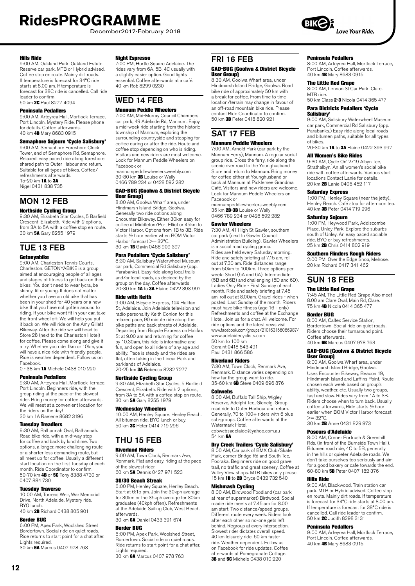December2017-February 2018

#### Hills Ride

9:00 AM, Oakland Park. Oakland Estate Reserve car park. MTB or Hybrid advised. Coffee stop en route. Mainly dirt roads. If temperature is forecast for 34°C ride starts at 8.00 am. If temperature is forecast for 38C ride is cancelled. Call ride leader to confirm. 50 km 2C Paul 8277 4094

#### Peninsula Pedallers

9:00 AM, Arteyrea Hall, Mortlock Terrace, Port Lincoln. Mystery Ride. Please phone for details. Coffee afterwards. 40 km 4B Mary 8683 0915

#### Semaphore Sojourn 'Cycle Salisbury'

9:00 AM, Semaphore Foreshore Clock Tower, end of Semaphore Rd, Semaphore. Relaxed, easy paced ride along foreshore shared path to Outer Habour and return. Suitable for all types of bikes. Coffee/ refreshments afterwards. 15-20 km **1A** to **3A** Nigel 0431 838 735

### MON 12 FEB

#### Northside Cycling Group

9:30 AM, Elizabeth Star Cycles, 5 Barfield Crescent, Elizabeth. Ride with 2 options, from 3A to 5A with a coffee stop en route. 30 km 5A Gary 8255 1979

### TUE 13 FEB

#### **Getonyabike**

9:00 AM, Charleston Tennis Courts, Charleston. GETONYABIKE is a group aimed at encouraging people of all ages and stages of fitness to get back on their bikes. You don't need to wear lycra, be skinny, fit or young. It does not matter whether you have an old bike that has been in your shed for 40 years or a new bike that you have not gotten around to riding. If your bike wont fit in your car, take the front wheel off. We will help you put it back on. We will ride on the Amy Gillett Bikeway. After the ride we will head to Store 28 (next to the Charleston Hotel) for coffee. Please come along and give it a try. Whether you ride 1km or 10km, you will have a nice ride with friendly people. Ride is weather dependent. Follow us on Facebook.

0 - 38 km 1A Michele 0438 010 220

#### Peninsula Pedallers

9:30 AM, Arteyrea Hall, Mortlock Terrace, Port Lincoln. Beginners ride, with the group riding at the pace of the slowest rider. Bring money for coffee afterwards. We will meet at a convenient location for the riders on the day! 30 km 1A Raelene 8682 3196

#### Tuesday Treadlers

9:30 AM, Balhannah Oval, Balhannah. Road bike ride, with a mid-way stop for coffee and back by lunchtime. Two options, a longer, more challenging route or a shorter less demanding route, but all meet up for coffee. Usually a different start location on the first Tuesday of each month. Ride Coordinator to confirm. 50-70 km 4B or 5C Tony 8388 4730 or 0407 884 730

#### Tuesday Traverse

10:00 AM, Torrens Weir, War Memorial Drive, North Adelaide. Mystery ride. BYO lunch. 40 km 2B Richard 0438 805 901

#### Border BUG

6:00 PM, Apex Park, Woolshed Street Bordertown. Social ride on quiet roads. Ride returns to start point for a chat after. Lights required. 30 km 6A Marcus 0407 978 763

#### Night Espresso

7:00 PM, Hurtle Square Adelaide. The rides vary from 6A, 5B, 4C usually with a slightly easier option. Good lights essential. Coffee afterwards at a café. 40 km Rob 8299 0230

### WED 14 FEB

### Mannum Peddle Wheelers

7:00 AM, Mid-Murray Council Chambers, car park, 49 Adelaide Rd, Mannum. Enjoy a mid-week ride starting from the historic township of Mannum, exploring the surrounding countryside and stopping for coffee during or after the ride. Route and coffee stop depending on who is riding. Visitors and new riders are most welcome. Look for Mannum Peddle Wheelers on Facebook or mannumpeddlewheelers.weebly.com

30-80 km 3B Louise or Wally 0466 789 234 or 0428 592 282

#### GAD-BUG (Goolwa & District Bicycle User Group)

8:00 AM, Goolwa Wharf area, under Hindmarsh Island Bridge, Goolwa. Generally two ride options along Encounter Bikeway. Either 30km easy for coffee at Middleton/Port Elliot or 45km to Victor Harbor. Options from 1B to 3B. Ride starts ½ hour earlier when BOM Victor Harbor forecast >= 32°C 30 km 1B Gavin 0468 909 397

#### Para Pedallers 'Cycle Salisbury'

8:30 AM, Salisbury Waterwheel Museum car park, Commercial Rd Salisbury (opp. Parabanks). Easy ride along local trails and/or local roads, as decided by the group on the day. Coffee afterwards. 20-30 km 1A to 3A Elaine 0422 393 997

#### Ride with Keith

9:00 AM, Bicycle Express, 124 Halifax St, Adelaide. Join Adelaide television and radio personality Keith Conlon for this relaxed pace, 90 minute ride along the bike paths and back streets of Adelaide. Departing from Bicycle Express on Halifax St at 9.00 am and returning for coffee by 10.30am, this ride is informative and fun, and open to all riders of any age and ability. Pace is steady and the rides are flat, often taking in the Linear Park and parklands of Adelaide. 20-25 km 3A Rebecca 8232 7277

### Northside Cycling Group

9:30 AM, Elizabeth Star Cycles, 5 Barfield Crescent, Elizabeth. Ride with 2 options, from 3A to 5A with a coffee stop en route. 30 km 5A Gary 8255 1979

#### Wednesday Wheelers

10:00 AM, Henley Square, Henley Beach. All bitumen ride. BYO lunch or buy. 50 km 3C Peter 0414 719 296

## THU 15 FEB

### Riverland Riders

9:00 AM, Town Clock, Renmark Ave, Renmark. Flat and easy, riding at the pace of the slowest rider. 60 km 5A Dennis 0427 971 523

#### 30/30 Beach Streak

6:00 PM, Henley Square, Henley Beach. Start at 6:15 pm. Join the 30kph average for 30km or the 35kph average for 30km graduates (40kph often). Refreshments at the Adelaide Sailing Club, West Beach, afterwards.

### 30 km 6A Daniel 0433 391 674

Border BUG 6:00 PM, Apex Park, Woolshed Street, Bordertown. Social ride on quiet roads. Ride returns to start point for a chat after. Lights required. 30 km 6A Marcus 0407 978 763

#### Peninsula Pedallers

8:00 AM, Arteyrea Hall, Mortlock Terrace, Port Lincoln. Coffee afterwards. 40 km 4B Mary 8683 0915

#### The Little Red Grape

8:00 AM, Lennon St Car Park, Clare. MTB ride.

50 km Class 2-3 Nicola 0414 365 477

#### Para Districts Pedallers 'Cycle Salisbury'

9:00 AM, Salisbury Waterwheel Museum car park, Commercial Rd Salisbury (opp. Parabanks.) Easy ride along local roads and bitumen paths, suitable for all types of bikes.

20-30 km **1A** to **3A** Elaine 0422 393 997

### All Women's Bike Rides

9:30 AM, Cycle On' 2/19 Albyn Tce, Strathalbyn. An all women's social bike ride with coffee afterwards. Various start locations Contact Lanie for details. 20 km 2B Lanie 0406 452 117

#### Saturday Express

1:00 PM, Henley Square (near the jetty), Henley Beach. Café stop for afternoon tea. 40 km 3B Peter 0414 719 296

#### Saturday Sojourn

1:00 PM, Heywood Park, Addiscombe Place, Unley Park. Explore the suburbs south of Unley. An easy paced sociable ride. BYO or buy refreshments. 25 km 2B Chris 0414 802 919

#### Southern Flinders Rough Riders

2:00 PM, Over the Edge Shop, Melrose. 20 km Richard 0417 341 462

### SUN 18 FEB

### The Little Red Grape

7:45 AM, The Little Red Grape Also meet 8.00 am Clare Oval, Main Rd, Clare. 75 km 4B Nicola 0414 365 477

#### Border BUG

8:00 AM, Caltex Service Station, Bordertown. Social ride on quiet roads. Riders choose their turnaround point. Coffee afterwards. 40 km 6B Marcus 0407 978 763

### GAD-BUG (Goolwa & District Bicycle

User Group) 8:00 AM, Goolwa Wharf area, under Hindmarsh Island Bridge, Goolwa. Uses Encounter Bikeway, Beacon 19, Hindmarsh Island and Laffins Point. Route chosen each week based on group's ability, weather, etc. Usually two groups, fast and slow. Rides vary from 1A to 3B. Riders choose when to turn back. Usually coffee afterwards, Ride starts ½ hour earlier when BOM Victor Harbor forecast  $>= 32^{\circ}C$ 

30 km 2B Anne 0431 829 973

#### Poseurs d'Adelaide

8:00 AM, Corner Portrush & Greenhill Rds. (in front of the Burnside Town Hall). Bitumen road ride, 4C to 5B, generally in the hills or quieter Adelaide roads. We don't take ourselves too seriously and aim for a good bakery or cafe towards the end. 60-80 km 5B Peter 0407 182 376

#### Hills Ride

9:00 AM, Blackwood. Train station car park. MTB or Hybrid advised. Coffee stop en route. Mainly dirt roads. If temperature is forecast for 34°C ride starts at 8.00 am. If temperature is forecast for 38°C ride is cancelled. Call ride leader to confirm. 50 km 2C Judith 8298 3131

#### Peninsula Pedallers

9:00 AM, Arteyrea Hall, Mortlock Terrace, Port Lincoln. Coffee afterwards. 40 km 4B Mary 8683 0915

Café. Visitors and new riders are welcome. Look for Mannum Peddle Wheelers on Facebook or mannumpeddlewheelers.weebly.com.<br>35 km **2B-3B** Louise or Wally 0466 789 234 or 0428 592 282

#### Gawler Wheelers

FRI 16 FEB

SAT 17 FEB Mannum Peddle Wheelers 7:00 AM, Arnold Park (car park by the Mannum Ferry), Mannum. A regular social group ride. Cross the ferry, ride along the scenic river road to the Younghusband Store and return to Mannum. Bring money for coffee either at Younghusband or back at Mannum at Picklemee Grandma

User Group)

GAD-BUG (Goolwa & District Bicycle

8:30 AM, Goolwa Wharf area, under Hindmarsh Island Bridge, Goolwa. Road bike ride of approximately 50 km with a break for coffee. From time to time location/terrain may change in favour of an off-road mountain bike ride. Please contact Ride Coordinator to confirm. 50 km 3B Peter 0418 820 921

7:30 AM, 41 High St Gawler, southern car park (next to Gawler Council Administration Building). Gawler Wheelers is a social road cycling group. Rides are held every Saturday morning. Ride and safety briefing at 7.15 am, roll out at 7.30 am. Ride distances range from 50km to 100km. Three options per week: Short (5A and 6A), Intermediate (5B and 6B) and challenging (5D and 6D). Ladies Only Ride - First Sunday of each month. Ride and safety briefing at 7.45 am, roll out at 8.00am. Gravel rides - when posted. Last Sunday of the month. Riders must have bike fitness (age 16+ only) must have bike intress (age for bing)<br>Refreshments and coffee at the Exchange Hotel. Join us for a chat. All welcome. For ride options and the latest news visit www.facebook.com/groups/210163156066987/ www.adelaidecyclists.com 50 km to 100 km Geraint 0418 843 491

Paul 0431 866 586

#### Riverland Riders

7:30 AM, Town Clock, Renmark Ave, Renmark. Distance varies depending on how far the group want to ride. 35-60 km  $\vec{6B}$  Steve 0409 696 876

#### **Cobwebs**

8:00 AM, Buffalo Tall Ship, Wigley Reserve, Adelphi Tce, Glenelg. Group road ride to Outer Harbour and return. Generally, 70 to 100+ riders with 6 plus sub-groups. Coffee afterwards at the Watermark Hotel. cobwebsadelaide@yahoo.com.au

54 km 6A

#### Dry Creek Trailers 'Cycle Salisbury'

8:00 AM, Car park of BMX Club/Skate Park, corner Bridge Rd and South Tce, Pooraka. Beginners ride on good gravel trail, no traffic and great scenery. Coffee at Valley View shops. MTB bikes only please. 15 km 1B to 2B Bryce 0432 732 540

#### Mishmash Cycling

8:00 AM, Birdwood Foodland (car park at rear of supermarket) Birdwood. Social roadie ride meets at 7.45 am for 8.00 am start. Two distance/speed groups. Different route every week. Riders look after each other so no-one gets left behind. Regroup at every intersection. Slowest rider dictates overall speed. 40 km leisurely ride, 60 km faster ride. Weather dependent. Follow us on Facebook for ride updates. Coffee afterwards at Pomegranate Cottage. **3B** and **5C** Michele 0438 010 220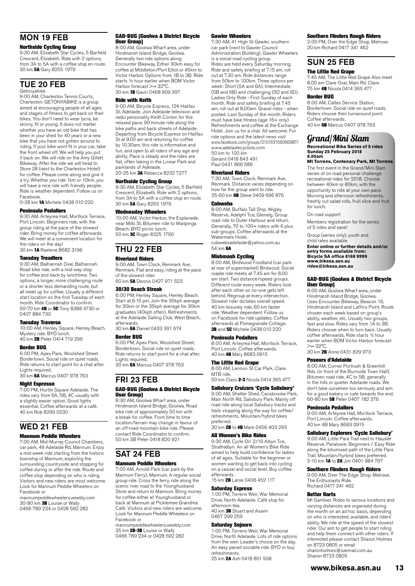### MON 19 FEB

#### Northside Cycling Group

9:30 AM, Elizabeth Star Cycles, 5 Barfield Crescent, Elizabeth. Ride with 2 options, from 3A to 5A with a coffee stop en route. 30 km 5A Gary 8255 1979

### TUE 20 FEB

Getonyabike 9:00 AM, Charleston Tennis Courts, Charleston. GETONYABIKE is a group aimed at encouraging people of all ages and stages of fitness to get back on their bikes. You don't need to wear lycra, be skinny, fit or young. It does not matter whether you have an old bike that has been in your shed for 40 years or a new bike that you have not gotten around to riding. If your bike wont fit in your car, take the front wheel off. We will help you put it back on. We will ride on the Amy Gillett Bikeway. After the ride we will head to Store 28 (next to the Charleston Hotel) for coffee. Please come along and give it a try. Whether you ride 1km or 10km, you will have a nice ride with friendly people. Ride is weather dependent. Follow us on Facebook.

0-38 km 1A Michele 0438 010 220

#### Peninsula Pedallers

9:30 AM, Arteyrea Hall, Mortlock Terrace, Port Lincoln. Beginners ride, with the group riding at the pace of the slowest rider. Bring money for coffee afterwards. We will meet at a convenient location for the riders on the day! 30 km 1A Raelene 8682 3196

#### Tuesday Treadlers

9:30 AM, Balhannah Oval, Balhannah. Road bike ride, with a mid-way stop for coffee and back by lunchtime. Two options, a longer, more challenging route or a shorter less demanding route, but all meet up for coffee. Usually a different start location on the first Tuesday of each month. Ride Coordinator to confirm. 50-70 km 4B or 5C Tony 8388 4730 or 0407 884 730

#### Tuesday Traverse

10:00 AM, Henley Square, Henley Beach. Mystery ride. BYO lunch. 40 km 2B Peter 0414 719 296

#### Border BUG

6:00 PM, Apex Park, Woolshed Street Bordertown. Social ride on quiet roads. Ride returns to start point for a chat after. Lights required.<br>30 km **6A** Marcus 0407 978 763

#### Night Espresso

7:00 PM, Hurtle Square Adelaide. The rides vary from 6A, 5B, 4C usually with a slightly easier option. Good lights essential. Coffee afterwards at a café. 40 km Rob 8299 0230

### WED 21 FEB

#### Mannum Peddle Wheelers

7:00 AM, Mid-Murray Council Chambers, car park, 49 Adelaide Rd, Mannum. Enjoy a mid-week ride starting from the historic township of Mannum, exploring the surrounding countryside and stopping for coffee during or after the ride. Route and coffee stop depending on who is riding. Visitors and new riders are most welcome. Look for Mannum Peddle Wheelers on Facebook or

mannumpeddlewheelers.weebly.com 30-80 km 3B Louise or Wally 0466 789 234 or 0428 592 282

#### GAD-BUG (Goolwa & District Bicycle User Group)

8:00 AM, Goolwa Wharf area, under Hindmarsh Island Bridge, Goolwa. Generally two ride options along Encounter Bikeway. Either 30km easy for coffee at Middleton/Port Elliot or 45km to Victor Harbor. Options from 1B to 3B. Ride starts ½ hour earlier when BOM Victor Harbor forecast >= 32°C. 30 km 1B Gavin 0468 909 397

#### Ride with Keith

9:00 AM, Bicycle Express, 124 Halifax St, Adelaide. Join Adelaide television and radio personality Keith Conlon for this relaxed pace, 90 minute ride along the bike paths and back streets of Adelaide. Departing from Bicycle Express on Halifax St at 9.00 am and returning for coffee by 10.30am, this ride is informative and fun, and open to all riders of any age and ability. Pace is steady and the rides are flat, often taking in the Linear Park and parklands of Adelaide. 20-25 km 3A Rebecca 8232 7277

#### Northside Cycling Group

9:30 AM, Elizabeth Star Cycles, 5 Barfield Crescent, Elizabeth. Ride with 2 options, from 3A to 5A with a coffee stop en route. 30 km 5A Gary 8255 1979

#### Wednesday Wheelers

10:00 AM, Victor Harbor, the Esplanade, near Mills St. Bitumen ride to Waitpinga Beach. BYO picnic lunch. 50 km 3C Roger 8325 1790

THU 22 FEB

#### Riverland Riders

9:00 AM, Town Clock, Renmark Ave, Renmark. Flat and easy, riding at the pace of the slowest rider. 60 km 5A Dennis 0427 971 523

#### 30/30 Beach Streak

6:00 PM, Henley Square, Henley Beach. Start at 6:15 pm. Join the 30kph average for 30km or the 35kph average for 30km graduates (40kph often). Refreshments at the Adelaide Sailing Club, West Beach, afterwards.

30 km **6A** Daniel 0433 391 674

#### Border BUG

6:00 PM, Apex Park, Woolshed Street, Bordertown. Social ride on quiet roads. Ride returns to start point for a chat after. Lights required.

30 km 6A Marcus 0407 978 763

#### FRI 23 FEB GAD-BUG (Goolwa & District Bicycle User Group)

8:30 AM, Goolwa Wharf area, under Hindmarsh Island Bridge, Goolwa. Road bike ride of approximately 50 km with a break for coffee. From time to time location/terrain may change in favour of an off-road mountain bike ride. Please contact Ride Coordinator to confirm. 50 km 3B Peter 0418 820 921

# SAT 24 FEB

#### Mannum Peddle Wheelers

7:00 AM, Arnold Park (car park by the Mannum Ferry), Mannum. A regular social group ride. Cross the ferry, ride along the scenic river road to the Younghusband Store and return to Mannum. Bring money for coffee either at Younghusband or back at Mannum at Picklemee Grandma Café. Visitors and new riders are welcome. Look for Mannum Peddle Wheelers on Facebook or

mannumpeddlewheelers.weebly.com 35 km 2B-3B Louise or Wally 0466 789 234 or 0428 592 282

#### Gawler Wheelers

7:30 AM, 41 High St Gawler, southern car park (next to Gawler Council Administration Building). Gawler Wheelers is a social road cycling group. Rides are held every Saturday morning. Ride and safety briefing at 7.15 am, roll out at 7.30 am. Ride distances range from 50km to 100km. Three options per week: Short (5A and 6A), Intermediate (5B and 6B) and challenging (5D and 6D). Ladies Only Ride - First Sunday of each month. Ride and safety briefing at 7.45 am, roll out at 8.00am. Gravel rides - when posted. Last Sunday of the month. Riders must have bike fitness (age 16+ only) Refreshments and coffee at the Exchange Hotel. Join us for a chat. All welcome. For ride options and the latest news visit www.facebook.com/groups/210163156066987/ www.adelaidecyclists.com 50 km to 100 km Geraint 0418 843 491 Paul 0431 866 586

#### Riverland Riders

7:30 AM, Town Clock, Renmark Ave, Renmark. Distance varies depending on how far the group want to ride. 35-60 km 6B Steve 0409 696 876

#### Cobwebs

8:00 AM, Buffalo Tall Ship, Wigley Reserve, Adelphi Tce, Glenelg. Group road ride to Outer Harbour and return. Generally, 70 to 100+ riders with 6 plus sub-groups. Coffee afterwards at the Watermark Hotel

cobwebsadelaide@yahoo.com.au 54 km 6A

**Mishmash Cycling**<br>8:00 AM, Birdwood Foodland (car park at rear of supermarket) Birdwood. Social roadie ride meets at 7.45 am for 8.00 am start. Two distance/speed groups. Different route every week. Riders look after each other so no-one gets left behind. Regroup at every intersection. Slowest rider dictates overall speed. 40 km leisurely ride, 60 km faster ride. Weather dependent. Follow us on Facebook for ride updates. Coffee afterwards at Pomegranate Cottage. 3B and 5C Michele 0438 010 220

#### Peninsula Pedallers

8:00 AM, Arteyrea Hall, Mortlock Terrace, Port Lincoln. Coffee afterwards. 40 km 4B Mary 8683 0915

#### The Little Red Grape

8:00 AM, Lennon St Car Park, Clare. MTR ride 50 km Class 2-3 Nicola 0414 365 477

#### Salisbury Cruizers 'Cycle Salisbury'

9:00 AM, Shelter Shed, Carisbrooke Park, Main North Rd, Salisbury Park. Mainly off road ride along local Salisbury tracks and trails stopping along the way for coffee/ refreshments. Mountain/hybrid bikes preferred. 30 km 2B to 4B Mark 0456 403 293

#### All Women's Bike Rides

9:30 AM, Cycle On' 2/19 Albyn Tce, Strathalbyn. An all Women's Bike Ride aimed to help build confidence for ladies of all ages. Suitable for the beginner or women wanting to get back into cycling on a casual and social level. Buy coffee afterwards.

15 km 2B Lanie 0406 452 117

#### Saturday Express

1:00 PM, Torrens Weir, War Memorial Drive, North Adelaide. Café stop for afternoon tea. 40 km 3B Stuart and Asami 0467 299 259

#### Saturday Sojourn

1:00 PM, Torrens Weir, War Memorial Drive, North Adelaide. Lots of ride options from the weir. Leader's choice on the day. An easy paced sociable ride. BYO or buy refreshments.

25 km **2A** Ash 0418 851 938

#### Southern Flinders Rough Riders

2:00 PM, Over the Edge Shop, Melrose. 20 km Richard 0417 341 462

### SUN 25 FEB

The Little Red Grape 7:45 AM, The Little Red Grape Also meet 8.00 am Clare Oval, Main Rd, Clare. 75 km 4B Nicola 0414 365 477

#### Border BUG

8:00 AM, Caltex Service Station, Bordertown. Social ride on quiet roads. Riders choose their turnaround point. Coffee afterwards. 40 km 6B Marcus 0407 978 763

### Grand/Mini Slam

#### **Recreational Bike Series of 5 rides Sunday 25 February 2018 8.00am**

**Mt Torrens, Centenary Park, Mt Torrens** The first event in the Grand/Mini Slam series of on road personal challenge recreational rides for 2018. Choose between 40km or 80km, with the opportunity to ride at your own pace.

Morning and afternoon refreshments, freshly cut salad rolls, fruit slice and fruit for lunch.

On road support

Members registration for the series of 5 rides and save!

Group (series only), youth and child rates available.

**Enter online or further details and/or entry forms available from: Bicycle SA office 8168 9999 [www.bikesa.asn.au](http://www.bikesa.asn.au) [rides@bikesa.asn.au](mailto:rides@bikesa.asn.au)**

#### GAD-BUG (Goolwa & District Bicycle User Group)

8:00 AM, Goolwa Wharf area, under Hindmarsh Island Bridge, Goolwa. Uses Encounter Bikeway, Beacon 19, Hindmarsh Island and Laffins Point. Route chosen each week based on group's ability, weather, etc. Usually two groups fast and slow. Rides vary from 1A to 3B. Riders choose when to turn back. Usually coffee afterwards, Ride starts ½ hour earlier when BOM Victor Harbor forecast  $>= 32^{\circ}C$ .

30 km 2B Anne 0431 829 973

#### Poseurs d'Adelaide

8:00 AM, Corner Portrush & Greenhill Rds. (in front of the Burnside Town Hall). Bitumen road ride, 4C to 5B, generally in the hills or quieter Adelaide roads. We don't take ourselves too seriously and aim for a good bakery or cafe towards the end. 60-80 km 5B Peter 0407 182 376

#### Peninsula Pedallers

9:00 AM, Arteyrea Hall, Mortlock Terrace, Port Lincoln. Coffee afterwards. 40 km 4B Mary 8683 0915

#### Salisbury Explorers 'Cycle Salisbury'

9:00 AM, Little Para Trail next to Hausler Reserve, Paralowie. Beginners / Easy Ride along the bitumised path of the Little Para Trail. Mountain/hyrbrid bikes preferred. 5-10 km 1A to 2A Jim 0401 984 767

#### Southern Flinders Rough Riders

9:00 AM, Over The Edge Shop, Melrose. The Enthusiasts Ride. Richard 0417 341 462

#### Better Harts

Mt Gambier. Rides to various locations and varying distances are organised during the month on an ad hoc basis, depending on who is interested, available, and riders' ability. We ride at the speed of the slowest rider. Our aim to get people to start riding and help them connect with other riders. If interested please contact Sharon Holmes on 8723 0805 or email sharonholmes@ozemail.com.au Sharon 8723 0805